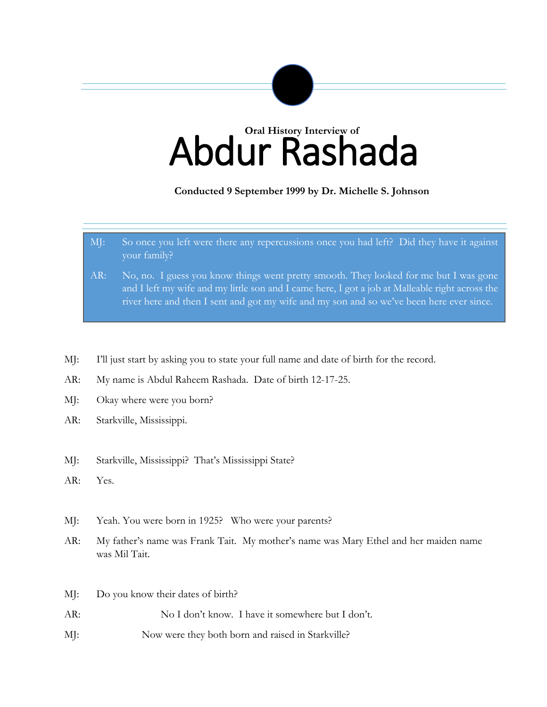# Abdur Rashada **Oral History Interview of**

**Conducted 9 September 1999 by Dr. Michelle S. Johnson**

- MJ: So once you left were there any repercussions once you had left? Did they have it against your family?
- AR: No, no. I guess you know things went pretty smooth. They looked for me but I was gone and I left my wife and my little son and I came here, I got a job at Malleable right across the river here and then I sent and got my wife and my son and so we've been here ever since.
- MJ: I'll just start by asking you to state your full name and date of birth for the record.
- AR: My name is Abdul Raheem Rashada. Date of birth 12-17-25.
- MJ: Okay where were you born?

- AR: Starkville, Mississippi.
- MJ: Starkville, Mississippi? That's Mississippi State?
- AR: Yes.
- MJ: Yeah. You were born in 1925? Who were your parents?
- AR: My father's name was Frank Tait. My mother's name was Mary Ethel and her maiden name was Mil Tait.
- MJ: Do you know their dates of birth?
- AR: No I don't know. I have it somewhere but I don't.
- MJ: Now were they both born and raised in Starkville?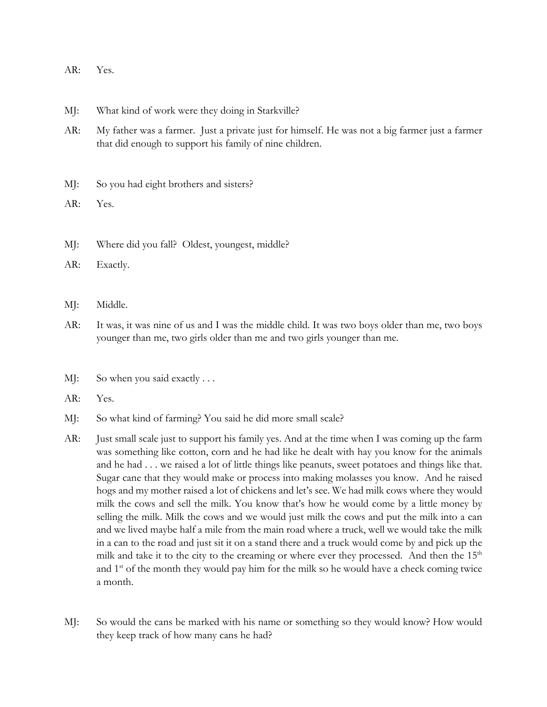| AR.<br>$\prime$ | CS. |
|-----------------|-----|
|                 |     |

- MJ: What kind of work were they doing in Starkville?
- AR: My father was a farmer. Just a private just for himself. He was not a big farmer just a farmer that did enough to support his family of nine children.
- MJ: So you had eight brothers and sisters?
- AR: Yes.
- MJ: Where did you fall? Oldest, youngest, middle?
- AR: Exactly.
- MJ: Middle.
- AR: It was, it was nine of us and I was the middle child. It was two boys older than me, two boys younger than me, two girls older than me and two girls younger than me.
- MJ: So when you said exactly ...
- AR: Yes.
- MJ: So what kind of farming? You said he did more small scale?
- AR: Just small scale just to support his family yes. And at the time when I was coming up the farm was something like cotton, corn and he had like he dealt with hay you know for the animals and he had . . . we raised a lot of little things like peanuts, sweet potatoes and things like that. Sugar cane that they would make or process into making molasses you know. And he raised hogs and my mother raised a lot of chickens and let's see. We had milk cows where they would milk the cows and sell the milk. You know that's how he would come by a little money by selling the milk. Milk the cows and we would just milk the cows and put the milk into a can and we lived maybe half a mile from the main road where a truck, well we would take the milk in a can to the road and just sit it on a stand there and a truck would come by and pick up the milk and take it to the city to the creaming or where ever they processed. And then the  $15<sup>th</sup>$ and  $1<sup>st</sup>$  of the month they would pay him for the milk so he would have a check coming twice a month.
- MJ: So would the cans be marked with his name or something so they would know? How would they keep track of how many cans he had?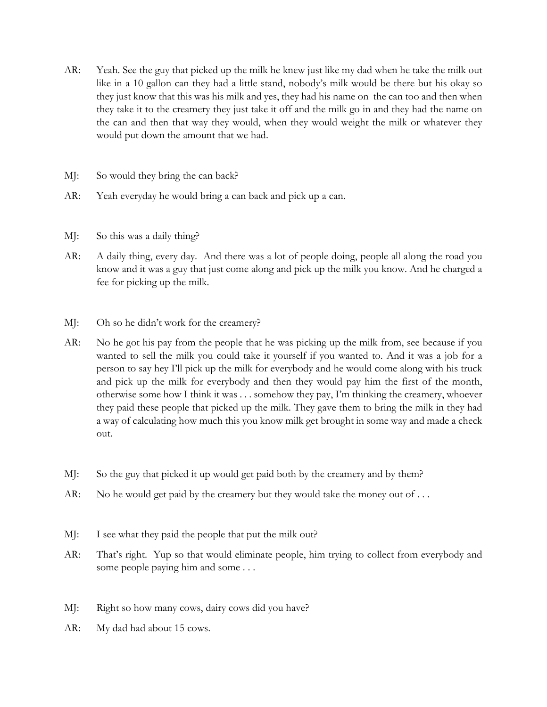- AR: Yeah. See the guy that picked up the milk he knew just like my dad when he take the milk out like in a 10 gallon can they had a little stand, nobody's milk would be there but his okay so they just know that this was his milk and yes, they had his name on the can too and then when they take it to the creamery they just take it off and the milk go in and they had the name on the can and then that way they would, when they would weight the milk or whatever they would put down the amount that we had.
- MJ: So would they bring the can back?
- AR: Yeah everyday he would bring a can back and pick up a can.
- MJ: So this was a daily thing?
- AR: A daily thing, every day. And there was a lot of people doing, people all along the road you know and it was a guy that just come along and pick up the milk you know. And he charged a fee for picking up the milk.
- MJ: Oh so he didn't work for the creamery?
- AR: No he got his pay from the people that he was picking up the milk from, see because if you wanted to sell the milk you could take it yourself if you wanted to. And it was a job for a person to say hey I'll pick up the milk for everybody and he would come along with his truck and pick up the milk for everybody and then they would pay him the first of the month, otherwise some how I think it was . . . somehow they pay, I'm thinking the creamery, whoever they paid these people that picked up the milk. They gave them to bring the milk in they had a way of calculating how much this you know milk get brought in some way and made a check out.
- MJ: So the guy that picked it up would get paid both by the creamery and by them?
- AR: No he would get paid by the creamery but they would take the money out of ...
- MJ: I see what they paid the people that put the milk out?
- AR: That's right. Yup so that would eliminate people, him trying to collect from everybody and some people paying him and some . . .
- MJ: Right so how many cows, dairy cows did you have?
- AR: My dad had about 15 cows.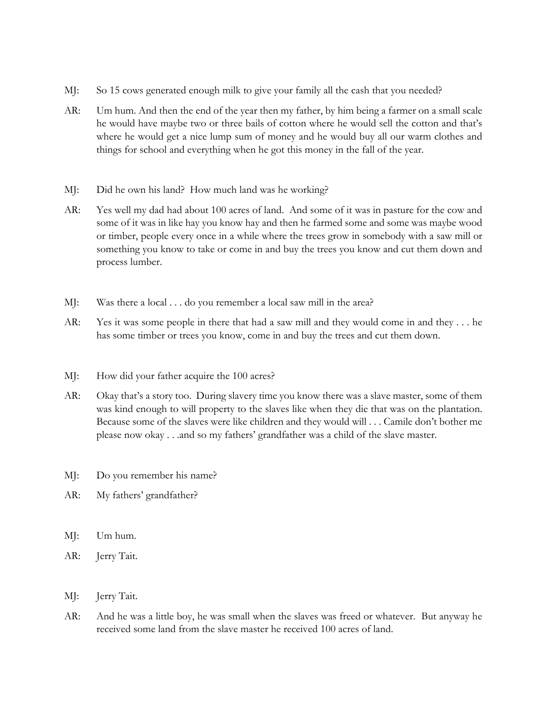- MJ: So 15 cows generated enough milk to give your family all the cash that you needed?
- AR: Um hum. And then the end of the year then my father, by him being a farmer on a small scale he would have maybe two or three bails of cotton where he would sell the cotton and that's where he would get a nice lump sum of money and he would buy all our warm clothes and things for school and everything when he got this money in the fall of the year.
- MJ: Did he own his land? How much land was he working?
- AR: Yes well my dad had about 100 acres of land. And some of it was in pasture for the cow and some of it was in like hay you know hay and then he farmed some and some was maybe wood or timber, people every once in a while where the trees grow in somebody with a saw mill or something you know to take or come in and buy the trees you know and cut them down and process lumber.
- MJ: Was there a local . . . do you remember a local saw mill in the area?
- AR: Yes it was some people in there that had a saw mill and they would come in and they . . . he has some timber or trees you know, come in and buy the trees and cut them down.
- MJ: How did your father acquire the 100 acres?
- AR: Okay that's a story too. During slavery time you know there was a slave master, some of them was kind enough to will property to the slaves like when they die that was on the plantation. Because some of the slaves were like children and they would will . . . Camile don't bother me please now okay . . .and so my fathers' grandfather was a child of the slave master.
- MJ: Do you remember his name?
- AR: My fathers' grandfather?
- MJ: Um hum.
- AR: Jerry Tait.
- MJ: Jerry Tait.
- AR: And he was a little boy, he was small when the slaves was freed or whatever. But anyway he received some land from the slave master he received 100 acres of land.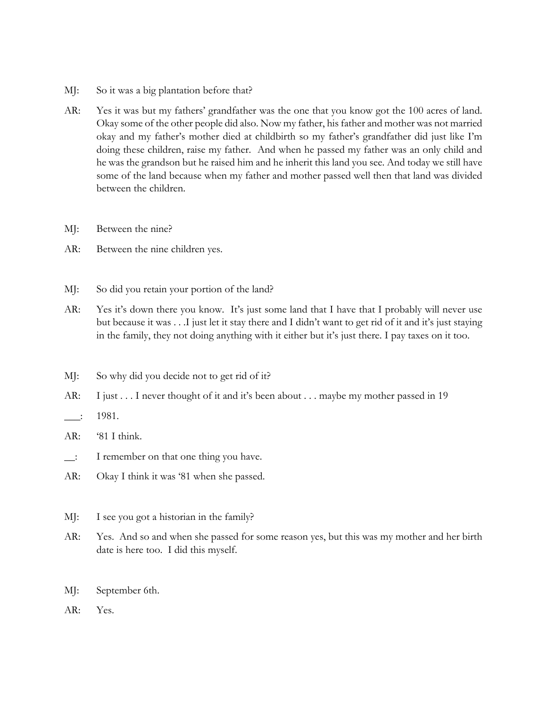- MJ: So it was a big plantation before that?
- AR: Yes it was but my fathers' grandfather was the one that you know got the 100 acres of land. Okay some of the other people did also. Now my father, his father and mother was not married okay and my father's mother died at childbirth so my father's grandfather did just like I'm doing these children, raise my father. And when he passed my father was an only child and he was the grandson but he raised him and he inherit this land you see. And today we still have some of the land because when my father and mother passed well then that land was divided between the children.
- MJ: Between the nine?
- AR: Between the nine children yes.
- MJ: So did you retain your portion of the land?
- AR: Yes it's down there you know. It's just some land that I have that I probably will never use but because it was . . .I just let it stay there and I didn't want to get rid of it and it's just staying in the family, they not doing anything with it either but it's just there. I pay taxes on it too.
- MJ: So why did you decide not to get rid of it?
- AR: I just . . . I never thought of it and it's been about . . . maybe my mother passed in 19
- $\frac{1}{2}$ : 1981.
- AR: '81 I think.
- \_\_: I remember on that one thing you have.
- AR: Okay I think it was '81 when she passed.
- MJ: I see you got a historian in the family?
- AR: Yes. And so and when she passed for some reason yes, but this was my mother and her birth date is here too. I did this myself.
- MJ: September 6th.
- AR: Yes.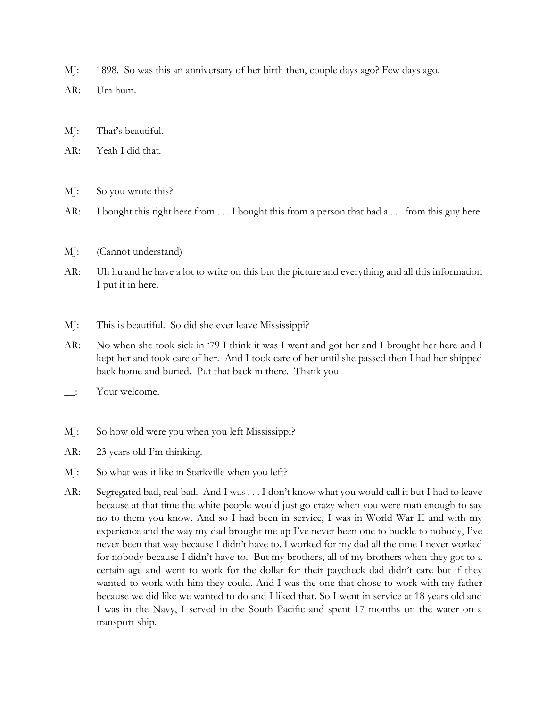- MJ: 1898. So was this an anniversary of her birth then, couple days ago? Few days ago.
- AR: Um hum.
- MJ: That's beautiful.
- AR: Yeah I did that.
- MJ: So you wrote this?
- AR: I bought this right here from ... I bought this from a person that had a ... from this guy here.
- MJ: (Cannot understand)
- AR: Uh hu and he have a lot to write on this but the picture and everything and all this information I put it in here.
- MJ: This is beautiful. So did she ever leave Mississippi?
- AR: No when she took sick in '79 I think it was I went and got her and I brought her here and I kept her and took care of her. And I took care of her until she passed then I had her shipped back home and buried. Put that back in there. Thank you.
- \_\_: Your welcome.
- MJ: So how old were you when you left Mississippi?
- AR: 23 years old I'm thinking.
- MJ: So what was it like in Starkville when you left?
- AR: Segregated bad, real bad. And I was . . . I don't know what you would call it but I had to leave because at that time the white people would just go crazy when you were man enough to say no to them you know. And so I had been in service, I was in World War II and with my experience and the way my dad brought me up I've never been one to buckle to nobody, I've never been that way because I didn't have to. I worked for my dad all the time I never worked for nobody because I didn't have to. But my brothers, all of my brothers when they got to a certain age and went to work for the dollar for their paycheck dad didn't care but if they wanted to work with him they could. And I was the one that chose to work with my father because we did like we wanted to do and I liked that. So I went in service at 18 years old and I was in the Navy, I served in the South Pacific and spent 17 months on the water on a transport ship.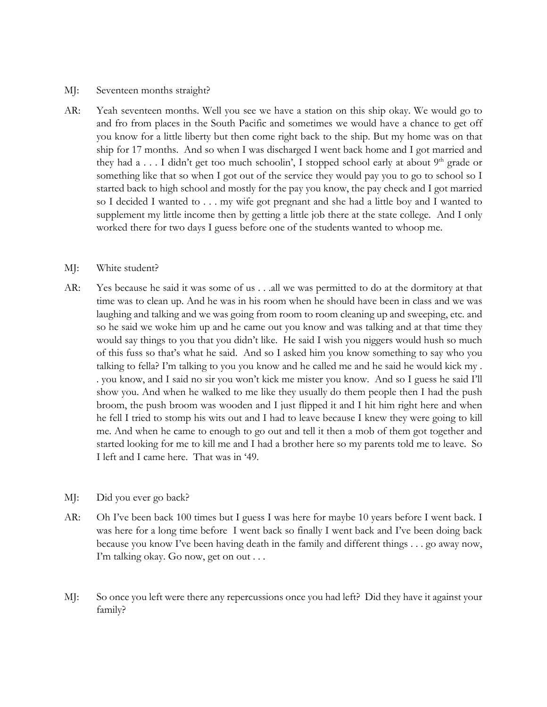#### MJ: Seventeen months straight?

AR: Yeah seventeen months. Well you see we have a station on this ship okay. We would go to and fro from places in the South Pacific and sometimes we would have a chance to get off you know for a little liberty but then come right back to the ship. But my home was on that ship for 17 months. And so when I was discharged I went back home and I got married and they had  $a \ldots I$  didn't get too much schoolin', I stopped school early at about  $9<sup>th</sup>$  grade or something like that so when I got out of the service they would pay you to go to school so I started back to high school and mostly for the pay you know, the pay check and I got married so I decided I wanted to . . . my wife got pregnant and she had a little boy and I wanted to supplement my little income then by getting a little job there at the state college. And I only worked there for two days I guess before one of the students wanted to whoop me.

## MJ: White student?

AR: Yes because he said it was some of us . . .all we was permitted to do at the dormitory at that time was to clean up. And he was in his room when he should have been in class and we was laughing and talking and we was going from room to room cleaning up and sweeping, etc. and so he said we woke him up and he came out you know and was talking and at that time they would say things to you that you didn't like. He said I wish you niggers would hush so much of this fuss so that's what he said. And so I asked him you know something to say who you talking to fella? I'm talking to you you know and he called me and he said he would kick my . . you know, and I said no sir you won't kick me mister you know. And so I guess he said I'll show you. And when he walked to me like they usually do them people then I had the push broom, the push broom was wooden and I just flipped it and I hit him right here and when he fell I tried to stomp his wits out and I had to leave because I knew they were going to kill me. And when he came to enough to go out and tell it then a mob of them got together and started looking for me to kill me and I had a brother here so my parents told me to leave. So I left and I came here. That was in '49.

## MJ: Did you ever go back?

- AR: Oh I've been back 100 times but I guess I was here for maybe 10 years before I went back. I was here for a long time before I went back so finally I went back and I've been doing back because you know I've been having death in the family and different things . . . go away now, I'm talking okay. Go now, get on out . . .
- MJ: So once you left were there any repercussions once you had left? Did they have it against your family?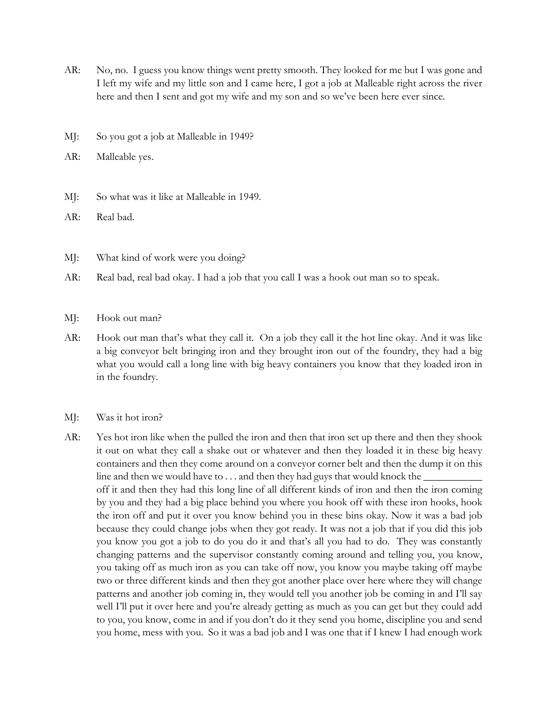- AR: No, no. I guess you know things went pretty smooth. They looked for me but I was gone and I left my wife and my little son and I came here, I got a job at Malleable right across the river here and then I sent and got my wife and my son and so we've been here ever since.
- MJ: So you got a job at Malleable in 1949?
- AR: Malleable yes.
- MJ: So what was it like at Malleable in 1949.
- AR: Real bad.
- MJ: What kind of work were you doing?
- AR: Real bad, real bad okay. I had a job that you call I was a hook out man so to speak.
- MJ: Hook out man?
- AR: Hook out man that's what they call it. On a job they call it the hot line okay. And it was like a big conveyor belt bringing iron and they brought iron out of the foundry, they had a big what you would call a long line with big heavy containers you know that they loaded iron in in the foundry.
- MJ: Was it hot iron?
- AR: Yes hot iron like when the pulled the iron and then that iron set up there and then they shook it out on what they call a shake out or whatever and then they loaded it in these big heavy containers and then they come around on a conveyor corner belt and then the dump it on this line and then we would have to  $\dots$  and then they had guys that would knock the off it and then they had this long line of all different kinds of iron and then the iron coming by you and they had a big place behind you where you hook off with these iron hooks, hook the iron off and put it over you know behind you in these bins okay. Now it was a bad job because they could change jobs when they got ready. It was not a job that if you did this job you know you got a job to do you do it and that's all you had to do. They was constantly changing patterns and the supervisor constantly coming around and telling you, you know, you taking off as much iron as you can take off now, you know you maybe taking off maybe two or three different kinds and then they got another place over here where they will change patterns and another job coming in, they would tell you another job be coming in and I'll say well I'll put it over here and you're already getting as much as you can get but they could add to you, you know, come in and if you don't do it they send you home, discipline you and send you home, mess with you. So it was a bad job and I was one that if I knew I had enough work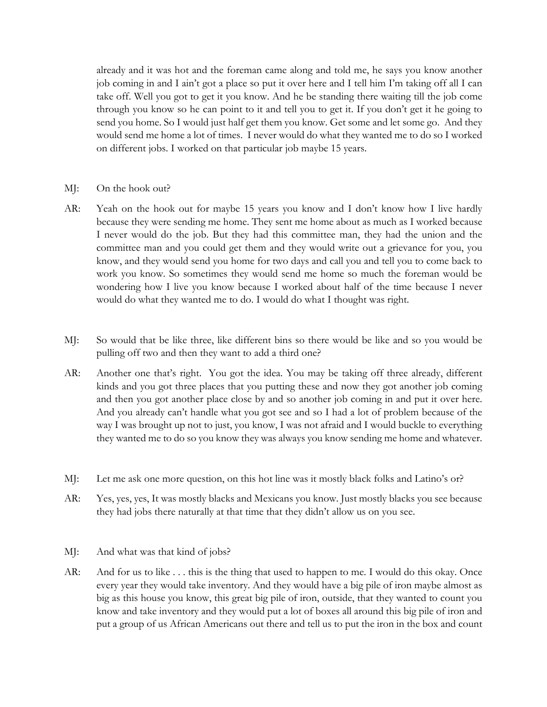already and it was hot and the foreman came along and told me, he says you know another job coming in and I ain't got a place so put it over here and I tell him I'm taking off all I can take off. Well you got to get it you know. And he be standing there waiting till the job come through you know so he can point to it and tell you to get it. If you don't get it he going to send you home. So I would just half get them you know. Get some and let some go. And they would send me home a lot of times. I never would do what they wanted me to do so I worked on different jobs. I worked on that particular job maybe 15 years.

- MJ: On the hook out?
- AR: Yeah on the hook out for maybe 15 years you know and I don't know how I live hardly because they were sending me home. They sent me home about as much as I worked because I never would do the job. But they had this committee man, they had the union and the committee man and you could get them and they would write out a grievance for you, you know, and they would send you home for two days and call you and tell you to come back to work you know. So sometimes they would send me home so much the foreman would be wondering how I live you know because I worked about half of the time because I never would do what they wanted me to do. I would do what I thought was right.
- MJ: So would that be like three, like different bins so there would be like and so you would be pulling off two and then they want to add a third one?
- AR: Another one that's right. You got the idea. You may be taking off three already, different kinds and you got three places that you putting these and now they got another job coming and then you got another place close by and so another job coming in and put it over here. And you already can't handle what you got see and so I had a lot of problem because of the way I was brought up not to just, you know, I was not afraid and I would buckle to everything they wanted me to do so you know they was always you know sending me home and whatever.
- MJ: Let me ask one more question, on this hot line was it mostly black folks and Latino's or?
- AR: Yes, yes, yes, It was mostly blacks and Mexicans you know. Just mostly blacks you see because they had jobs there naturally at that time that they didn't allow us on you see.
- MJ: And what was that kind of jobs?
- AR: And for us to like . . . this is the thing that used to happen to me. I would do this okay. Once every year they would take inventory. And they would have a big pile of iron maybe almost as big as this house you know, this great big pile of iron, outside, that they wanted to count you know and take inventory and they would put a lot of boxes all around this big pile of iron and put a group of us African Americans out there and tell us to put the iron in the box and count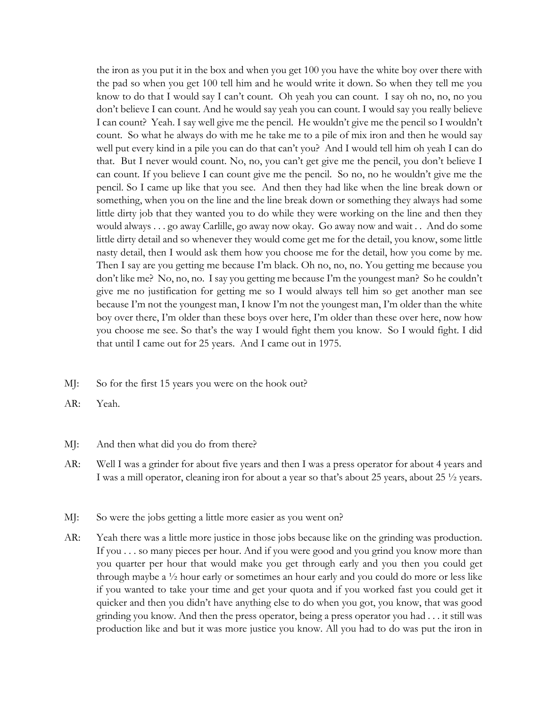the iron as you put it in the box and when you get 100 you have the white boy over there with the pad so when you get 100 tell him and he would write it down. So when they tell me you know to do that I would say I can't count. Oh yeah you can count. I say oh no, no, no you don't believe I can count. And he would say yeah you can count. I would say you really believe I can count? Yeah. I say well give me the pencil. He wouldn't give me the pencil so I wouldn't count. So what he always do with me he take me to a pile of mix iron and then he would say well put every kind in a pile you can do that can't you? And I would tell him oh yeah I can do that. But I never would count. No, no, you can't get give me the pencil, you don't believe I can count. If you believe I can count give me the pencil. So no, no he wouldn't give me the pencil. So I came up like that you see. And then they had like when the line break down or something, when you on the line and the line break down or something they always had some little dirty job that they wanted you to do while they were working on the line and then they would always . . . go away Carlille, go away now okay. Go away now and wait . . And do some little dirty detail and so whenever they would come get me for the detail, you know, some little nasty detail, then I would ask them how you choose me for the detail, how you come by me. Then I say are you getting me because I'm black. Oh no, no, no. You getting me because you don't like me? No, no, no. I say you getting me because I'm the youngest man? So he couldn't give me no justification for getting me so I would always tell him so get another man see because I'm not the youngest man, I know I'm not the youngest man, I'm older than the white boy over there, I'm older than these boys over here, I'm older than these over here, now how you choose me see. So that's the way I would fight them you know. So I would fight. I did that until I came out for 25 years. And I came out in 1975.

- MJ: So for the first 15 years you were on the hook out?
- AR: Yeah.
- MJ: And then what did you do from there?
- AR: Well I was a grinder for about five years and then I was a press operator for about 4 years and I was a mill operator, cleaning iron for about a year so that's about 25 years, about 25 ½ years.
- MJ: So were the jobs getting a little more easier as you went on?
- AR: Yeah there was a little more justice in those jobs because like on the grinding was production. If you . . . so many pieces per hour. And if you were good and you grind you know more than you quarter per hour that would make you get through early and you then you could get through maybe a ½ hour early or sometimes an hour early and you could do more or less like if you wanted to take your time and get your quota and if you worked fast you could get it quicker and then you didn't have anything else to do when you got, you know, that was good grinding you know. And then the press operator, being a press operator you had . . . it still was production like and but it was more justice you know. All you had to do was put the iron in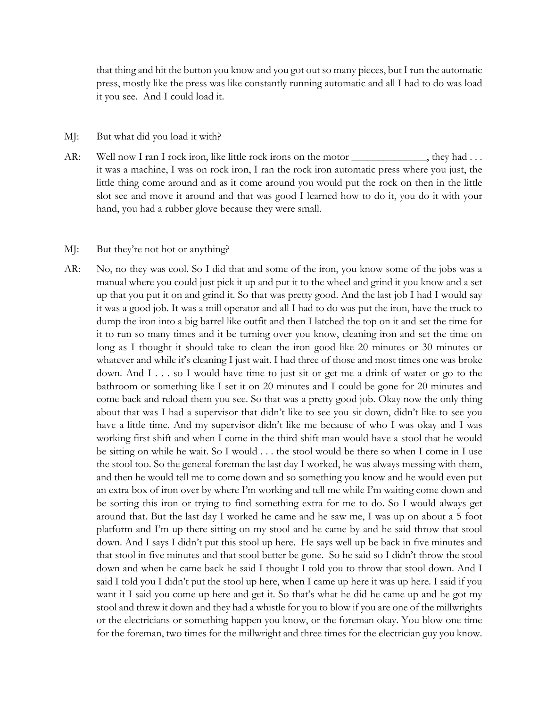that thing and hit the button you know and you got out so many pieces, but I run the automatic press, mostly like the press was like constantly running automatic and all I had to do was load it you see. And I could load it.

#### MJ: But what did you load it with?

AR: Well now I ran I rock iron, like little rock irons on the motor \_\_\_\_\_\_\_\_\_\_\_, they had ... it was a machine, I was on rock iron, I ran the rock iron automatic press where you just, the little thing come around and as it come around you would put the rock on then in the little slot see and move it around and that was good I learned how to do it, you do it with your hand, you had a rubber glove because they were small.

#### MJ: But they're not hot or anything?

AR: No, no they was cool. So I did that and some of the iron, you know some of the jobs was a manual where you could just pick it up and put it to the wheel and grind it you know and a set up that you put it on and grind it. So that was pretty good. And the last job I had I would say it was a good job. It was a mill operator and all I had to do was put the iron, have the truck to dump the iron into a big barrel like outfit and then I latched the top on it and set the time for it to run so many times and it be turning over you know, cleaning iron and set the time on long as I thought it should take to clean the iron good like 20 minutes or 30 minutes or whatever and while it's cleaning I just wait. I had three of those and most times one was broke down. And I . . . so I would have time to just sit or get me a drink of water or go to the bathroom or something like I set it on 20 minutes and I could be gone for 20 minutes and come back and reload them you see. So that was a pretty good job. Okay now the only thing about that was I had a supervisor that didn't like to see you sit down, didn't like to see you have a little time. And my supervisor didn't like me because of who I was okay and I was working first shift and when I come in the third shift man would have a stool that he would be sitting on while he wait. So I would . . . the stool would be there so when I come in I use the stool too. So the general foreman the last day I worked, he was always messing with them, and then he would tell me to come down and so something you know and he would even put an extra box of iron over by where I'm working and tell me while I'm waiting come down and be sorting this iron or trying to find something extra for me to do. So I would always get around that. But the last day I worked he came and he saw me, I was up on about a 5 foot platform and I'm up there sitting on my stool and he came by and he said throw that stool down. And I says I didn't put this stool up here. He says well up be back in five minutes and that stool in five minutes and that stool better be gone. So he said so I didn't throw the stool down and when he came back he said I thought I told you to throw that stool down. And I said I told you I didn't put the stool up here, when I came up here it was up here. I said if you want it I said you come up here and get it. So that's what he did he came up and he got my stool and threw it down and they had a whistle for you to blow if you are one of the millwrights or the electricians or something happen you know, or the foreman okay. You blow one time for the foreman, two times for the millwright and three times for the electrician guy you know.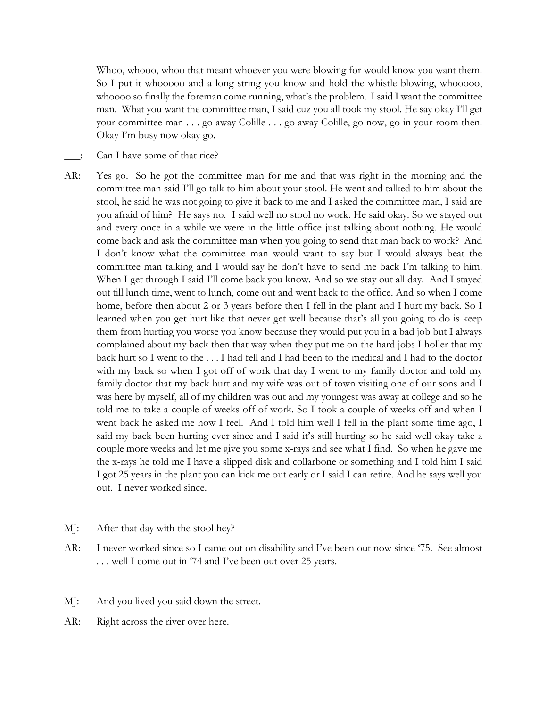Whoo, whooo, whoo that meant whoever you were blowing for would know you want them. So I put it whooooo and a long string you know and hold the whistle blowing, whooooo, whoooo so finally the foreman come running, what's the problem. I said I want the committee man. What you want the committee man, I said cuz you all took my stool. He say okay I'll get your committee man . . . go away Colille . . . go away Colille, go now, go in your room then. Okay I'm busy now okay go.

- Can I have some of that rice?
- AR: Yes go. So he got the committee man for me and that was right in the morning and the committee man said I'll go talk to him about your stool. He went and talked to him about the stool, he said he was not going to give it back to me and I asked the committee man, I said are you afraid of him? He says no. I said well no stool no work. He said okay. So we stayed out and every once in a while we were in the little office just talking about nothing. He would come back and ask the committee man when you going to send that man back to work? And I don't know what the committee man would want to say but I would always beat the committee man talking and I would say he don't have to send me back I'm talking to him. When I get through I said I'll come back you know. And so we stay out all day. And I stayed out till lunch time, went to lunch, come out and went back to the office. And so when I come home, before then about 2 or 3 years before then I fell in the plant and I hurt my back. So I learned when you get hurt like that never get well because that's all you going to do is keep them from hurting you worse you know because they would put you in a bad job but I always complained about my back then that way when they put me on the hard jobs I holler that my back hurt so I went to the . . . I had fell and I had been to the medical and I had to the doctor with my back so when I got off of work that day I went to my family doctor and told my family doctor that my back hurt and my wife was out of town visiting one of our sons and I was here by myself, all of my children was out and my youngest was away at college and so he told me to take a couple of weeks off of work. So I took a couple of weeks off and when I went back he asked me how I feel. And I told him well I fell in the plant some time ago, I said my back been hurting ever since and I said it's still hurting so he said well okay take a couple more weeks and let me give you some x-rays and see what I find. So when he gave me the x-rays he told me I have a slipped disk and collarbone or something and I told him I said I got 25 years in the plant you can kick me out early or I said I can retire. And he says well you out. I never worked since.
- MJ: After that day with the stool hey?
- AR: I never worked since so I came out on disability and I've been out now since '75. See almost . . . well I come out in '74 and I've been out over 25 years.
- MJ: And you lived you said down the street.
- AR: Right across the river over here.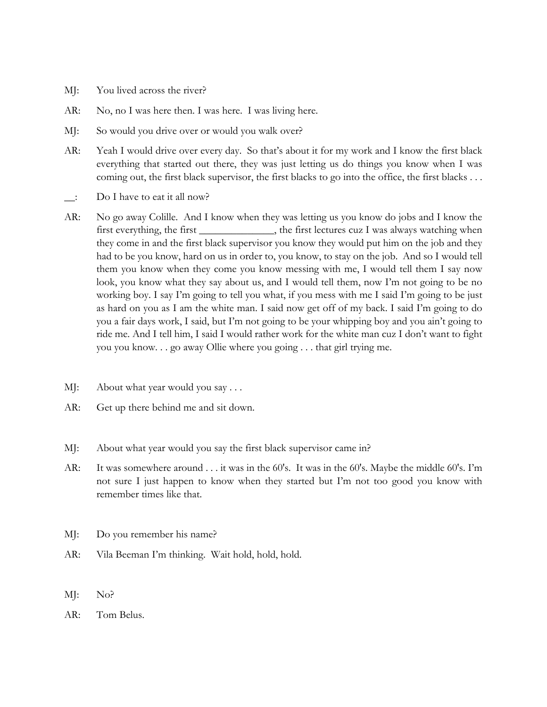- MJ: You lived across the river?
- AR: No, no I was here then. I was here. I was living here.
- MJ: So would you drive over or would you walk over?
- AR: Yeah I would drive over every day. So that's about it for my work and I know the first black everything that started out there, they was just letting us do things you know when I was coming out, the first black supervisor, the first blacks to go into the office, the first blacks . . .
- \_\_: Do I have to eat it all now?
- AR: No go away Colille. And I know when they was letting us you know do jobs and I know the first everything, the first \_\_\_\_\_\_\_\_\_\_\_\_\_, the first lectures cuz I was always watching when they come in and the first black supervisor you know they would put him on the job and they had to be you know, hard on us in order to, you know, to stay on the job. And so I would tell them you know when they come you know messing with me, I would tell them I say now look, you know what they say about us, and I would tell them, now I'm not going to be no working boy. I say I'm going to tell you what, if you mess with me I said I'm going to be just as hard on you as I am the white man. I said now get off of my back. I said I'm going to do you a fair days work, I said, but I'm not going to be your whipping boy and you ain't going to ride me. And I tell him, I said I would rather work for the white man cuz I don't want to fight you you know. . . go away Ollie where you going . . . that girl trying me.
- MJ: About what year would you say . . .
- AR: Get up there behind me and sit down.
- MJ: About what year would you say the first black supervisor came in?
- AR: It was somewhere around . . . it was in the 60's. It was in the 60's. Maybe the middle 60's. I'm not sure I just happen to know when they started but I'm not too good you know with remember times like that.
- MJ: Do you remember his name?
- AR: Vila Beeman I'm thinking. Wait hold, hold, hold.
- MJ: No?
- AR: Tom Belus.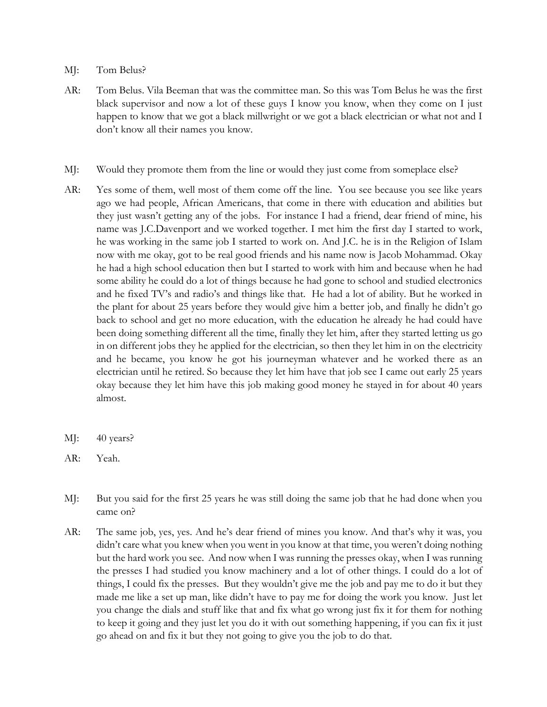- MJ: Tom Belus?
- AR: Tom Belus. Vila Beeman that was the committee man. So this was Tom Belus he was the first black supervisor and now a lot of these guys I know you know, when they come on I just happen to know that we got a black millwright or we got a black electrician or what not and I don't know all their names you know.
- MJ: Would they promote them from the line or would they just come from someplace else?
- AR: Yes some of them, well most of them come off the line. You see because you see like years ago we had people, African Americans, that come in there with education and abilities but they just wasn't getting any of the jobs. For instance I had a friend, dear friend of mine, his name was J.C.Davenport and we worked together. I met him the first day I started to work, he was working in the same job I started to work on. And J.C. he is in the Religion of Islam now with me okay, got to be real good friends and his name now is Jacob Mohammad. Okay he had a high school education then but I started to work with him and because when he had some ability he could do a lot of things because he had gone to school and studied electronics and he fixed TV's and radio's and things like that. He had a lot of ability. But he worked in the plant for about 25 years before they would give him a better job, and finally he didn't go back to school and get no more education, with the education he already he had could have been doing something different all the time, finally they let him, after they started letting us go in on different jobs they he applied for the electrician, so then they let him in on the electricity and he became, you know he got his journeyman whatever and he worked there as an electrician until he retired. So because they let him have that job see I came out early 25 years okay because they let him have this job making good money he stayed in for about 40 years almost.
- MJ: 40 years?
- AR: Yeah.
- MJ: But you said for the first 25 years he was still doing the same job that he had done when you came on?
- AR: The same job, yes, yes. And he's dear friend of mines you know. And that's why it was, you didn't care what you knew when you went in you know at that time, you weren't doing nothing but the hard work you see. And now when I was running the presses okay, when I was running the presses I had studied you know machinery and a lot of other things. I could do a lot of things, I could fix the presses. But they wouldn't give me the job and pay me to do it but they made me like a set up man, like didn't have to pay me for doing the work you know. Just let you change the dials and stuff like that and fix what go wrong just fix it for them for nothing to keep it going and they just let you do it with out something happening, if you can fix it just go ahead on and fix it but they not going to give you the job to do that.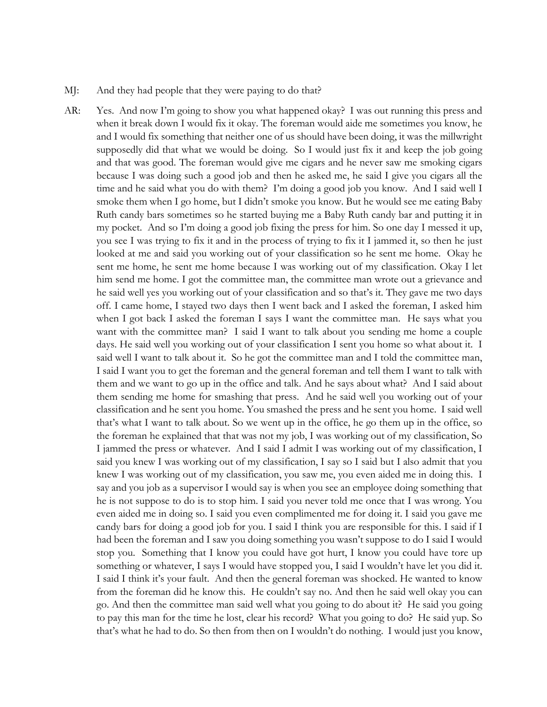- MJ: And they had people that they were paying to do that?
- AR: Yes. And now I'm going to show you what happened okay? I was out running this press and when it break down I would fix it okay. The foreman would aide me sometimes you know, he and I would fix something that neither one of us should have been doing, it was the millwright supposedly did that what we would be doing. So I would just fix it and keep the job going and that was good. The foreman would give me cigars and he never saw me smoking cigars because I was doing such a good job and then he asked me, he said I give you cigars all the time and he said what you do with them? I'm doing a good job you know. And I said well I smoke them when I go home, but I didn't smoke you know. But he would see me eating Baby Ruth candy bars sometimes so he started buying me a Baby Ruth candy bar and putting it in my pocket. And so I'm doing a good job fixing the press for him. So one day I messed it up, you see I was trying to fix it and in the process of trying to fix it I jammed it, so then he just looked at me and said you working out of your classification so he sent me home. Okay he sent me home, he sent me home because I was working out of my classification. Okay I let him send me home. I got the committee man, the committee man wrote out a grievance and he said well yes you working out of your classification and so that's it. They gave me two days off. I came home, I stayed two days then I went back and I asked the foreman, I asked him when I got back I asked the foreman I says I want the committee man. He says what you want with the committee man? I said I want to talk about you sending me home a couple days. He said well you working out of your classification I sent you home so what about it. I said well I want to talk about it. So he got the committee man and I told the committee man, I said I want you to get the foreman and the general foreman and tell them I want to talk with them and we want to go up in the office and talk. And he says about what? And I said about them sending me home for smashing that press. And he said well you working out of your classification and he sent you home. You smashed the press and he sent you home. I said well that's what I want to talk about. So we went up in the office, he go them up in the office, so the foreman he explained that that was not my job, I was working out of my classification, So I jammed the press or whatever. And I said I admit I was working out of my classification, I said you knew I was working out of my classification, I say so I said but I also admit that you knew I was working out of my classification, you saw me, you even aided me in doing this. I say and you job as a supervisor I would say is when you see an employee doing something that he is not suppose to do is to stop him. I said you never told me once that I was wrong. You even aided me in doing so. I said you even complimented me for doing it. I said you gave me candy bars for doing a good job for you. I said I think you are responsible for this. I said if I had been the foreman and I saw you doing something you wasn't suppose to do I said I would stop you. Something that I know you could have got hurt, I know you could have tore up something or whatever, I says I would have stopped you, I said I wouldn't have let you did it. I said I think it's your fault. And then the general foreman was shocked. He wanted to know from the foreman did he know this. He couldn't say no. And then he said well okay you can go. And then the committee man said well what you going to do about it? He said you going to pay this man for the time he lost, clear his record? What you going to do? He said yup. So that's what he had to do. So then from then on I wouldn't do nothing. I would just you know,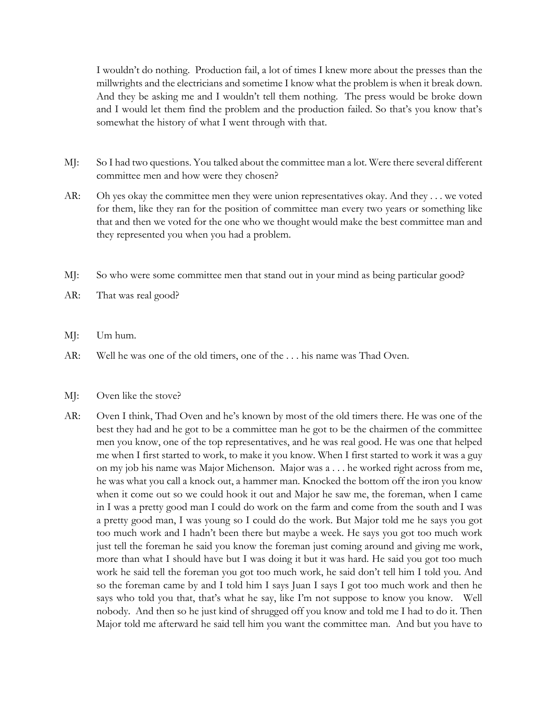I wouldn't do nothing. Production fail, a lot of times I knew more about the presses than the millwrights and the electricians and sometime I know what the problem is when it break down. And they be asking me and I wouldn't tell them nothing. The press would be broke down and I would let them find the problem and the production failed. So that's you know that's somewhat the history of what I went through with that.

- MJ: So I had two questions. You talked about the committee man a lot. Were there several different committee men and how were they chosen?
- AR: Oh yes okay the committee men they were union representatives okay. And they . . . we voted for them, like they ran for the position of committee man every two years or something like that and then we voted for the one who we thought would make the best committee man and they represented you when you had a problem.
- MJ: So who were some committee men that stand out in your mind as being particular good?
- AR: That was real good?
- MJ: Um hum.
- AR: Well he was one of the old timers, one of the . . . his name was Thad Oven.

## MJ: Oven like the stove?

AR: Oven I think, Thad Oven and he's known by most of the old timers there. He was one of the best they had and he got to be a committee man he got to be the chairmen of the committee men you know, one of the top representatives, and he was real good. He was one that helped me when I first started to work, to make it you know. When I first started to work it was a guy on my job his name was Major Michenson. Major was a . . . he worked right across from me, he was what you call a knock out, a hammer man. Knocked the bottom off the iron you know when it come out so we could hook it out and Major he saw me, the foreman, when I came in I was a pretty good man I could do work on the farm and come from the south and I was a pretty good man, I was young so I could do the work. But Major told me he says you got too much work and I hadn't been there but maybe a week. He says you got too much work just tell the foreman he said you know the foreman just coming around and giving me work, more than what I should have but I was doing it but it was hard. He said you got too much work he said tell the foreman you got too much work, he said don't tell him I told you. And so the foreman came by and I told him I says Juan I says I got too much work and then he says who told you that, that's what he say, like I'm not suppose to know you know. Well nobody. And then so he just kind of shrugged off you know and told me I had to do it. Then Major told me afterward he said tell him you want the committee man. And but you have to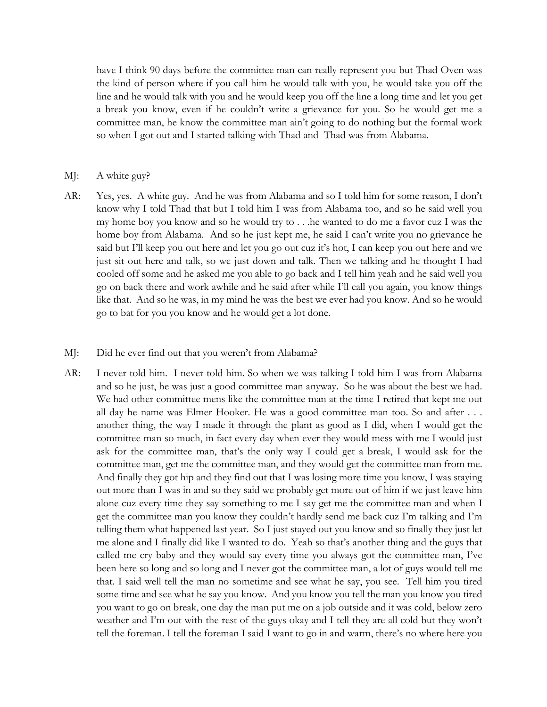have I think 90 days before the committee man can really represent you but Thad Oven was the kind of person where if you call him he would talk with you, he would take you off the line and he would talk with you and he would keep you off the line a long time and let you get a break you know, even if he couldn't write a grievance for you. So he would get me a committee man, he know the committee man ain't going to do nothing but the formal work so when I got out and I started talking with Thad and Thad was from Alabama.

#### MJ: A white guy?

AR: Yes, yes. A white guy. And he was from Alabama and so I told him for some reason, I don't know why I told Thad that but I told him I was from Alabama too, and so he said well you my home boy you know and so he would try to . . .he wanted to do me a favor cuz I was the home boy from Alabama. And so he just kept me, he said I can't write you no grievance he said but I'll keep you out here and let you go out cuz it's hot, I can keep you out here and we just sit out here and talk, so we just down and talk. Then we talking and he thought I had cooled off some and he asked me you able to go back and I tell him yeah and he said well you go on back there and work awhile and he said after while I'll call you again, you know things like that. And so he was, in my mind he was the best we ever had you know. And so he would go to bat for you you know and he would get a lot done.

#### MJ: Did he ever find out that you weren't from Alabama?

AR: I never told him. I never told him. So when we was talking I told him I was from Alabama and so he just, he was just a good committee man anyway. So he was about the best we had. We had other committee mens like the committee man at the time I retired that kept me out all day he name was Elmer Hooker. He was a good committee man too. So and after . . . another thing, the way I made it through the plant as good as I did, when I would get the committee man so much, in fact every day when ever they would mess with me I would just ask for the committee man, that's the only way I could get a break, I would ask for the committee man, get me the committee man, and they would get the committee man from me. And finally they got hip and they find out that I was losing more time you know, I was staying out more than I was in and so they said we probably get more out of him if we just leave him alone cuz every time they say something to me I say get me the committee man and when I get the committee man you know they couldn't hardly send me back cuz I'm talking and I'm telling them what happened last year. So I just stayed out you know and so finally they just let me alone and I finally did like I wanted to do. Yeah so that's another thing and the guys that called me cry baby and they would say every time you always got the committee man, I've been here so long and so long and I never got the committee man, a lot of guys would tell me that. I said well tell the man no sometime and see what he say, you see. Tell him you tired some time and see what he say you know. And you know you tell the man you know you tired you want to go on break, one day the man put me on a job outside and it was cold, below zero weather and I'm out with the rest of the guys okay and I tell they are all cold but they won't tell the foreman. I tell the foreman I said I want to go in and warm, there's no where here you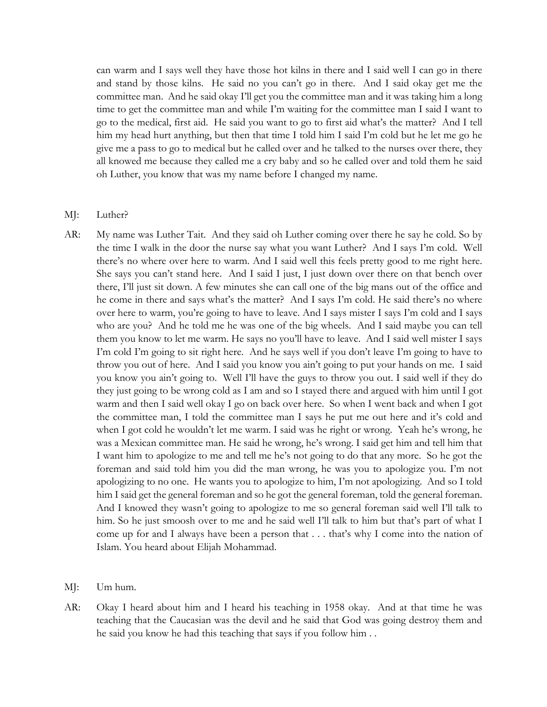can warm and I says well they have those hot kilns in there and I said well I can go in there and stand by those kilns. He said no you can't go in there. And I said okay get me the committee man. And he said okay I'll get you the committee man and it was taking him a long time to get the committee man and while I'm waiting for the committee man I said I want to go to the medical, first aid. He said you want to go to first aid what's the matter? And I tell him my head hurt anything, but then that time I told him I said I'm cold but he let me go he give me a pass to go to medical but he called over and he talked to the nurses over there, they all knowed me because they called me a cry baby and so he called over and told them he said oh Luther, you know that was my name before I changed my name.

#### MJ: Luther?

- AR: My name was Luther Tait. And they said oh Luther coming over there he say he cold. So by the time I walk in the door the nurse say what you want Luther? And I says I'm cold. Well there's no where over here to warm. And I said well this feels pretty good to me right here. She says you can't stand here. And I said I just, I just down over there on that bench over there, I'll just sit down. A few minutes she can call one of the big mans out of the office and he come in there and says what's the matter? And I says I'm cold. He said there's no where over here to warm, you're going to have to leave. And I says mister I says I'm cold and I says who are you? And he told me he was one of the big wheels. And I said maybe you can tell them you know to let me warm. He says no you'll have to leave. And I said well mister I says I'm cold I'm going to sit right here. And he says well if you don't leave I'm going to have to throw you out of here. And I said you know you ain't going to put your hands on me. I said you know you ain't going to. Well I'll have the guys to throw you out. I said well if they do they just going to be wrong cold as I am and so I stayed there and argued with him until I got warm and then I said well okay I go on back over here. So when I went back and when I got the committee man, I told the committee man I says he put me out here and it's cold and when I got cold he wouldn't let me warm. I said was he right or wrong. Yeah he's wrong, he was a Mexican committee man. He said he wrong, he's wrong. I said get him and tell him that I want him to apologize to me and tell me he's not going to do that any more. So he got the foreman and said told him you did the man wrong, he was you to apologize you. I'm not apologizing to no one. He wants you to apologize to him, I'm not apologizing. And so I told him I said get the general foreman and so he got the general foreman, told the general foreman. And I knowed they wasn't going to apologize to me so general foreman said well I'll talk to him. So he just smoosh over to me and he said well I'll talk to him but that's part of what I come up for and I always have been a person that . . . that's why I come into the nation of Islam. You heard about Elijah Mohammad.
- MJ: Um hum.
- AR: Okay I heard about him and I heard his teaching in 1958 okay. And at that time he was teaching that the Caucasian was the devil and he said that God was going destroy them and he said you know he had this teaching that says if you follow him . .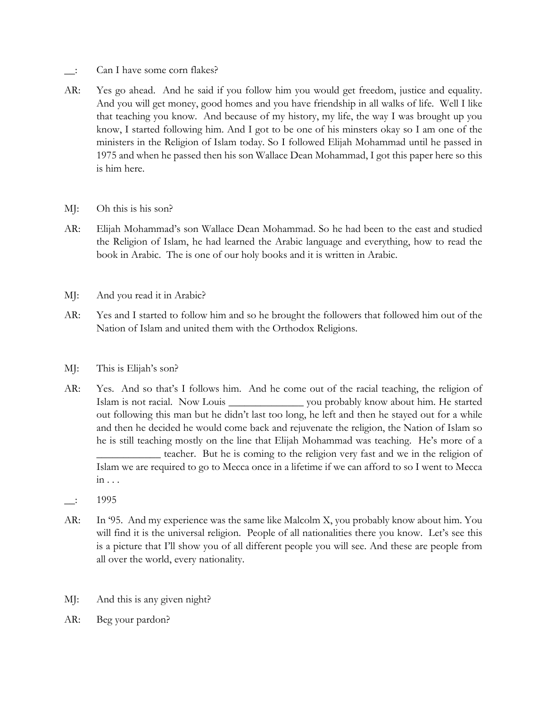- \_\_: Can I have some corn flakes?
- AR: Yes go ahead. And he said if you follow him you would get freedom, justice and equality. And you will get money, good homes and you have friendship in all walks of life. Well I like that teaching you know. And because of my history, my life, the way I was brought up you know, I started following him. And I got to be one of his minsters okay so I am one of the ministers in the Religion of Islam today. So I followed Elijah Mohammad until he passed in 1975 and when he passed then his son Wallace Dean Mohammad, I got this paper here so this is him here.
- MJ: Oh this is his son?
- AR: Elijah Mohammad's son Wallace Dean Mohammad. So he had been to the east and studied the Religion of Islam, he had learned the Arabic language and everything, how to read the book in Arabic. The is one of our holy books and it is written in Arabic.
- MJ: And you read it in Arabic?
- AR: Yes and I started to follow him and so he brought the followers that followed him out of the Nation of Islam and united them with the Orthodox Religions.
- MJ: This is Elijah's son?
- AR: Yes. And so that's I follows him. And he come out of the racial teaching, the religion of Islam is not racial. Now Louis \_\_\_\_\_\_\_\_\_\_\_\_\_\_ you probably know about him. He started out following this man but he didn't last too long, he left and then he stayed out for a while and then he decided he would come back and rejuvenate the religion, the Nation of Islam so he is still teaching mostly on the line that Elijah Mohammad was teaching. He's more of a teacher. But he is coming to the religion very fast and we in the religion of Islam we are required to go to Mecca once in a lifetime if we can afford to so I went to Mecca in . . .
- $\frac{1}{2}$  1995
- AR: In '95. And my experience was the same like Malcolm X, you probably know about him. You will find it is the universal religion. People of all nationalities there you know. Let's see this is a picture that I'll show you of all different people you will see. And these are people from all over the world, every nationality.
- MJ: And this is any given night?
- AR: Beg your pardon?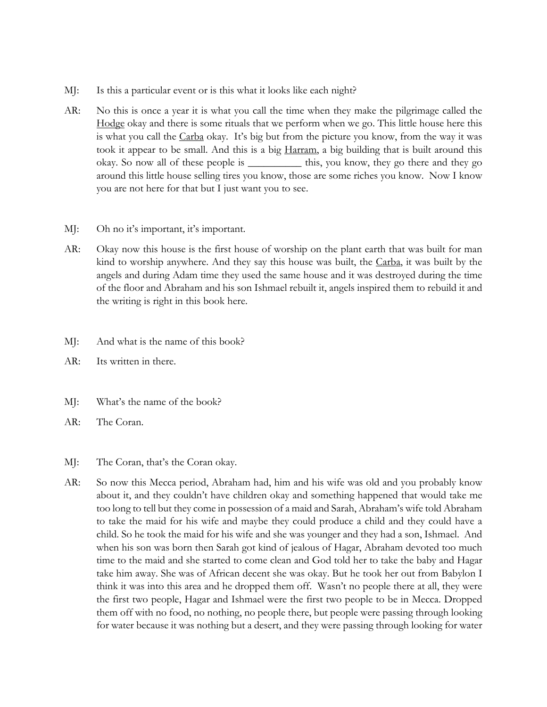- MJ: Is this a particular event or is this what it looks like each night?
- AR: No this is once a year it is what you call the time when they make the pilgrimage called the Hodge okay and there is some rituals that we perform when we go. This little house here this is what you call the Carba okay. It's big but from the picture you know, from the way it was took it appear to be small. And this is a big Harram, a big building that is built around this okay. So now all of these people is \_\_\_\_\_\_\_\_\_\_ this, you know, they go there and they go around this little house selling tires you know, those are some riches you know. Now I know you are not here for that but I just want you to see.
- MJ: Oh no it's important, it's important.
- AR: Okay now this house is the first house of worship on the plant earth that was built for man kind to worship anywhere. And they say this house was built, the Carba, it was built by the angels and during Adam time they used the same house and it was destroyed during the time of the floor and Abraham and his son Ishmael rebuilt it, angels inspired them to rebuild it and the writing is right in this book here.
- MJ: And what is the name of this book?
- AR: Its written in there.
- MJ: What's the name of the book?
- AR: The Coran.
- MJ: The Coran, that's the Coran okay.
- AR: So now this Mecca period, Abraham had, him and his wife was old and you probably know about it, and they couldn't have children okay and something happened that would take me too long to tell but they come in possession of a maid and Sarah, Abraham's wife told Abraham to take the maid for his wife and maybe they could produce a child and they could have a child. So he took the maid for his wife and she was younger and they had a son, Ishmael. And when his son was born then Sarah got kind of jealous of Hagar, Abraham devoted too much time to the maid and she started to come clean and God told her to take the baby and Hagar take him away. She was of African decent she was okay. But he took her out from Babylon I think it was into this area and he dropped them off. Wasn't no people there at all, they were the first two people, Hagar and Ishmael were the first two people to be in Mecca. Dropped them off with no food, no nothing, no people there, but people were passing through looking for water because it was nothing but a desert, and they were passing through looking for water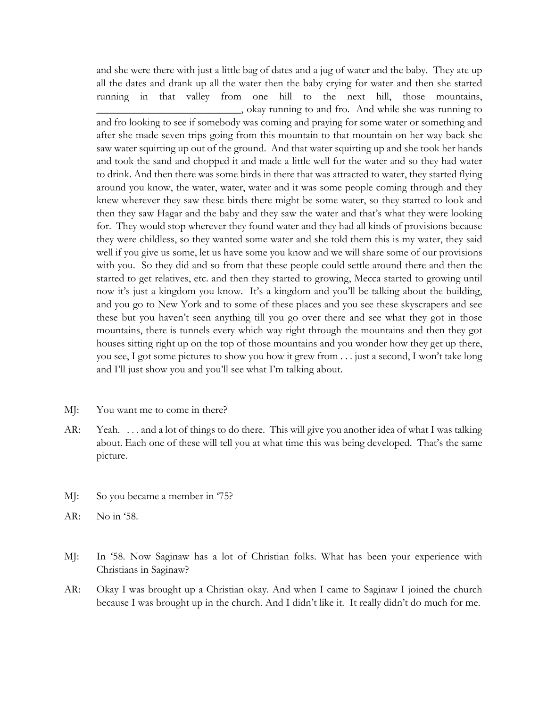and she were there with just a little bag of dates and a jug of water and the baby. They ate up all the dates and drank up all the water then the baby crying for water and then she started running in that valley from one hill to the next hill, those mountains, \_\_\_\_\_\_\_\_\_\_\_\_\_\_\_\_\_\_\_\_\_\_\_\_\_\_\_, okay running to and fro. And while she was running to

and fro looking to see if somebody was coming and praying for some water or something and after she made seven trips going from this mountain to that mountain on her way back she saw water squirting up out of the ground. And that water squirting up and she took her hands and took the sand and chopped it and made a little well for the water and so they had water to drink. And then there was some birds in there that was attracted to water, they started flying around you know, the water, water, water and it was some people coming through and they knew wherever they saw these birds there might be some water, so they started to look and then they saw Hagar and the baby and they saw the water and that's what they were looking for. They would stop wherever they found water and they had all kinds of provisions because they were childless, so they wanted some water and she told them this is my water, they said well if you give us some, let us have some you know and we will share some of our provisions with you. So they did and so from that these people could settle around there and then the started to get relatives, etc. and then they started to growing, Mecca started to growing until now it's just a kingdom you know. It's a kingdom and you'll be talking about the building, and you go to New York and to some of these places and you see these skyscrapers and see these but you haven't seen anything till you go over there and see what they got in those mountains, there is tunnels every which way right through the mountains and then they got houses sitting right up on the top of those mountains and you wonder how they get up there, you see, I got some pictures to show you how it grew from . . . just a second, I won't take long and I'll just show you and you'll see what I'm talking about.

- MJ: You want me to come in there?
- AR: Yeah. . . . and a lot of things to do there. This will give you another idea of what I was talking about. Each one of these will tell you at what time this was being developed. That's the same picture.
- MJ: So you became a member in '75?
- AR: No in '58.
- MJ: In '58. Now Saginaw has a lot of Christian folks. What has been your experience with Christians in Saginaw?
- AR: Okay I was brought up a Christian okay. And when I came to Saginaw I joined the church because I was brought up in the church. And I didn't like it. It really didn't do much for me.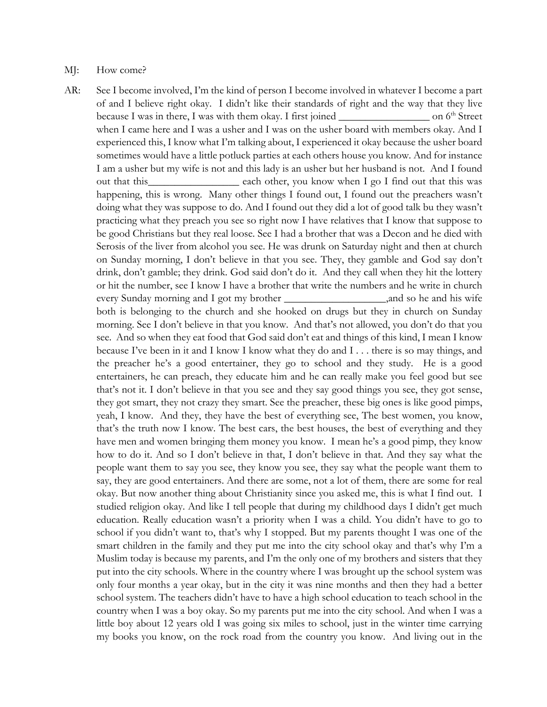#### MJ: How come?

AR: See I become involved, I'm the kind of person I become involved in whatever I become a part of and I believe right okay. I didn't like their standards of right and the way that they live because I was in there, I was with them okay. I first joined \_\_\_\_\_\_\_\_\_\_\_\_\_\_\_\_\_\_\_\_\_\_\_ on 6<sup>th</sup> Street when I came here and I was a usher and I was on the usher board with members okay. And I experienced this, I know what I'm talking about, I experienced it okay because the usher board sometimes would have a little potluck parties at each others house you know. And for instance I am a usher but my wife is not and this lady is an usher but her husband is not. And I found out that this\_\_\_\_\_\_\_\_\_\_\_\_\_\_\_\_\_\_\_ each other, you know when I go I find out that this was happening, this is wrong. Many other things I found out, I found out the preachers wasn't doing what they was suppose to do. And I found out they did a lot of good talk bu they wasn't practicing what they preach you see so right now I have relatives that I know that suppose to be good Christians but they real loose. See I had a brother that was a Decon and he died with Serosis of the liver from alcohol you see. He was drunk on Saturday night and then at church on Sunday morning, I don't believe in that you see. They, they gamble and God say don't drink, don't gamble; they drink. God said don't do it. And they call when they hit the lottery or hit the number, see I know I have a brother that write the numbers and he write in church every Sunday morning and I got my brother \_\_\_\_\_\_\_\_\_\_\_\_\_\_\_\_\_\_\_,and so he and his wife both is belonging to the church and she hooked on drugs but they in church on Sunday morning. See I don't believe in that you know. And that's not allowed, you don't do that you see. And so when they eat food that God said don't eat and things of this kind, I mean I know because I've been in it and I know I know what they do and I . . . there is so may things, and the preacher he's a good entertainer, they go to school and they study. He is a good entertainers, he can preach, they educate him and he can really make you feel good but see that's not it. I don't believe in that you see and they say good things you see, they got sense, they got smart, they not crazy they smart. See the preacher, these big ones is like good pimps, yeah, I know. And they, they have the best of everything see, The best women, you know, that's the truth now I know. The best cars, the best houses, the best of everything and they have men and women bringing them money you know. I mean he's a good pimp, they know how to do it. And so I don't believe in that, I don't believe in that. And they say what the people want them to say you see, they know you see, they say what the people want them to say, they are good entertainers. And there are some, not a lot of them, there are some for real okay. But now another thing about Christianity since you asked me, this is what I find out. I studied religion okay. And like I tell people that during my childhood days I didn't get much education. Really education wasn't a priority when I was a child. You didn't have to go to school if you didn't want to, that's why I stopped. But my parents thought I was one of the smart children in the family and they put me into the city school okay and that's why I'm a Muslim today is because my parents, and I'm the only one of my brothers and sisters that they put into the city schools. Where in the country where I was brought up the school system was only four months a year okay, but in the city it was nine months and then they had a better school system. The teachers didn't have to have a high school education to teach school in the country when I was a boy okay. So my parents put me into the city school. And when I was a little boy about 12 years old I was going six miles to school, just in the winter time carrying my books you know, on the rock road from the country you know. And living out in the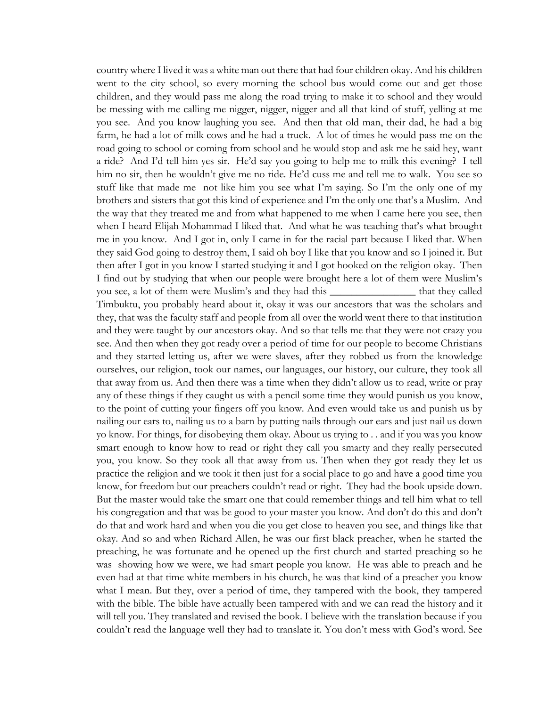country where I lived it was a white man out there that had four children okay. And his children went to the city school, so every morning the school bus would come out and get those children, and they would pass me along the road trying to make it to school and they would be messing with me calling me nigger, nigger, nigger and all that kind of stuff, yelling at me you see. And you know laughing you see. And then that old man, their dad, he had a big farm, he had a lot of milk cows and he had a truck. A lot of times he would pass me on the road going to school or coming from school and he would stop and ask me he said hey, want a ride? And I'd tell him yes sir. He'd say you going to help me to milk this evening? I tell him no sir, then he wouldn't give me no ride. He'd cuss me and tell me to walk. You see so stuff like that made me not like him you see what I'm saying. So I'm the only one of my brothers and sisters that got this kind of experience and I'm the only one that's a Muslim. And the way that they treated me and from what happened to me when I came here you see, then when I heard Elijah Mohammad I liked that. And what he was teaching that's what brought me in you know. And I got in, only I came in for the racial part because I liked that. When they said God going to destroy them, I said oh boy I like that you know and so I joined it. But then after I got in you know I started studying it and I got hooked on the religion okay. Then I find out by studying that when our people were brought here a lot of them were Muslim's you see, a lot of them were Muslim's and they had this \_\_\_\_\_\_\_\_\_\_\_\_\_\_\_\_ that they called Timbuktu, you probably heard about it, okay it was our ancestors that was the scholars and they, that was the faculty staff and people from all over the world went there to that institution and they were taught by our ancestors okay. And so that tells me that they were not crazy you see. And then when they got ready over a period of time for our people to become Christians and they started letting us, after we were slaves, after they robbed us from the knowledge ourselves, our religion, took our names, our languages, our history, our culture, they took all that away from us. And then there was a time when they didn't allow us to read, write or pray any of these things if they caught us with a pencil some time they would punish us you know, to the point of cutting your fingers off you know. And even would take us and punish us by nailing our ears to, nailing us to a barn by putting nails through our ears and just nail us down yo know. For things, for disobeying them okay. About us trying to . . and if you was you know smart enough to know how to read or right they call you smarty and they really persecuted you, you know. So they took all that away from us. Then when they got ready they let us practice the religion and we took it then just for a social place to go and have a good time you know, for freedom but our preachers couldn't read or right. They had the book upside down. But the master would take the smart one that could remember things and tell him what to tell his congregation and that was be good to your master you know. And don't do this and don't do that and work hard and when you die you get close to heaven you see, and things like that okay. And so and when Richard Allen, he was our first black preacher, when he started the preaching, he was fortunate and he opened up the first church and started preaching so he was showing how we were, we had smart people you know. He was able to preach and he even had at that time white members in his church, he was that kind of a preacher you know what I mean. But they, over a period of time, they tampered with the book, they tampered with the bible. The bible have actually been tampered with and we can read the history and it will tell you. They translated and revised the book. I believe with the translation because if you couldn't read the language well they had to translate it. You don't mess with God's word. See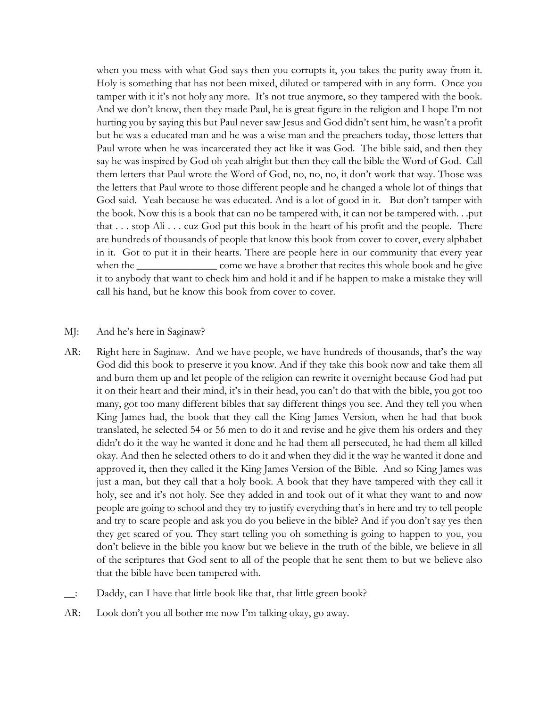when you mess with what God says then you corrupts it, you takes the purity away from it. Holy is something that has not been mixed, diluted or tampered with in any form. Once you tamper with it it's not holy any more. It's not true anymore, so they tampered with the book. And we don't know, then they made Paul, he is great figure in the religion and I hope I'm not hurting you by saying this but Paul never saw Jesus and God didn't sent him, he wasn't a profit but he was a educated man and he was a wise man and the preachers today, those letters that Paul wrote when he was incarcerated they act like it was God. The bible said, and then they say he was inspired by God oh yeah alright but then they call the bible the Word of God. Call them letters that Paul wrote the Word of God, no, no, no, it don't work that way. Those was the letters that Paul wrote to those different people and he changed a whole lot of things that God said. Yeah because he was educated. And is a lot of good in it. But don't tamper with the book. Now this is a book that can no be tampered with, it can not be tampered with. . .put that . . . stop Ali . . . cuz God put this book in the heart of his profit and the people. There are hundreds of thousands of people that know this book from cover to cover, every alphabet in it. Got to put it in their hearts. There are people here in our community that every year when the \_\_\_\_\_\_\_\_\_\_\_\_\_\_\_\_\_ come we have a brother that recites this whole book and he give it to anybody that want to check him and hold it and if he happen to make a mistake they will call his hand, but he know this book from cover to cover.

#### MJ: And he's here in Saginaw?

- AR: Right here in Saginaw. And we have people, we have hundreds of thousands, that's the way God did this book to preserve it you know. And if they take this book now and take them all and burn them up and let people of the religion can rewrite it overnight because God had put it on their heart and their mind, it's in their head, you can't do that with the bible, you got too many, got too many different bibles that say different things you see. And they tell you when King James had, the book that they call the King James Version, when he had that book translated, he selected 54 or 56 men to do it and revise and he give them his orders and they didn't do it the way he wanted it done and he had them all persecuted, he had them all killed okay. And then he selected others to do it and when they did it the way he wanted it done and approved it, then they called it the King James Version of the Bible. And so King James was just a man, but they call that a holy book. A book that they have tampered with they call it holy, see and it's not holy. See they added in and took out of it what they want to and now people are going to school and they try to justify everything that's in here and try to tell people and try to scare people and ask you do you believe in the bible? And if you don't say yes then they get scared of you. They start telling you oh something is going to happen to you, you don't believe in the bible you know but we believe in the truth of the bible, we believe in all of the scriptures that God sent to all of the people that he sent them to but we believe also that the bible have been tampered with.
- \_\_: Daddy, can I have that little book like that, that little green book?
- AR: Look don't you all bother me now I'm talking okay, go away.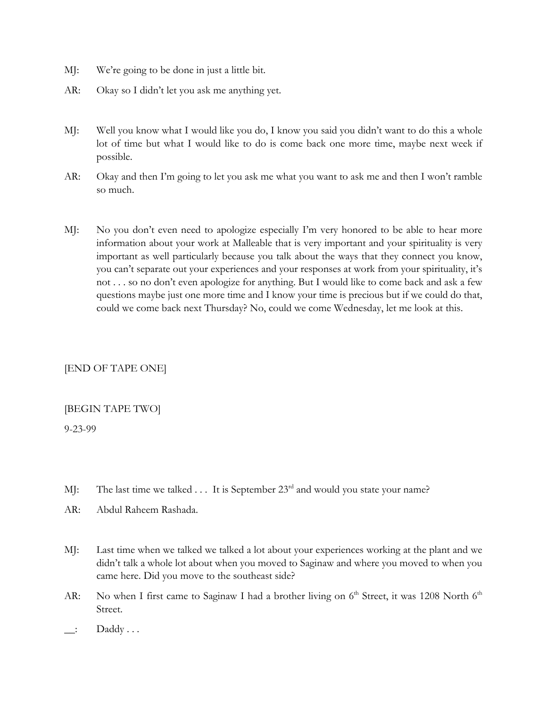- MJ: We're going to be done in just a little bit.
- AR: Okay so I didn't let you ask me anything yet.
- MJ: Well you know what I would like you do, I know you said you didn't want to do this a whole lot of time but what I would like to do is come back one more time, maybe next week if possible.
- AR: Okay and then I'm going to let you ask me what you want to ask me and then I won't ramble so much.
- MJ: No you don't even need to apologize especially I'm very honored to be able to hear more information about your work at Malleable that is very important and your spirituality is very important as well particularly because you talk about the ways that they connect you know, you can't separate out your experiences and your responses at work from your spirituality, it's not . . . so no don't even apologize for anything. But I would like to come back and ask a few questions maybe just one more time and I know your time is precious but if we could do that, could we come back next Thursday? No, could we come Wednesday, let me look at this.

# [END OF TAPE ONE]

## [BEGIN TAPE TWO]

9-23-99

- MJ: The last time we talked . . . It is September 23<sup>rd</sup> and would you state your name?
- AR: Abdul Raheem Rashada.
- MJ: Last time when we talked we talked a lot about your experiences working at the plant and we didn't talk a whole lot about when you moved to Saginaw and where you moved to when you came here. Did you move to the southeast side?
- AR: No when I first came to Saginaw I had a brother living on 6<sup>th</sup> Street, it was 1208 North 6<sup>th</sup> Street.
- $\Box$ : Daddy ...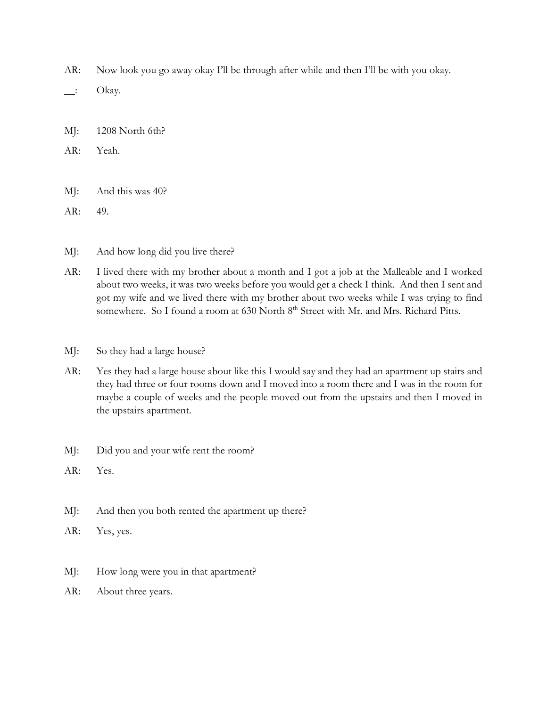- AR: Now look you go away okay I'll be through after while and then I'll be with you okay.
- $\quad$ : Okay.
- MJ: 1208 North 6th?
- AR: Yeah.
- MJ: And this was 40?
- AR: 49.
- MJ: And how long did you live there?
- AR: I lived there with my brother about a month and I got a job at the Malleable and I worked about two weeks, it was two weeks before you would get a check I think. And then I sent and got my wife and we lived there with my brother about two weeks while I was trying to find somewhere. So I found a room at 630 North 8<sup>th</sup> Street with Mr. and Mrs. Richard Pitts.
- MJ: So they had a large house?
- AR: Yes they had a large house about like this I would say and they had an apartment up stairs and they had three or four rooms down and I moved into a room there and I was in the room for maybe a couple of weeks and the people moved out from the upstairs and then I moved in the upstairs apartment.
- MJ: Did you and your wife rent the room?
- AR: Yes.
- MJ: And then you both rented the apartment up there?
- AR: Yes, yes.
- MJ: How long were you in that apartment?
- AR: About three years.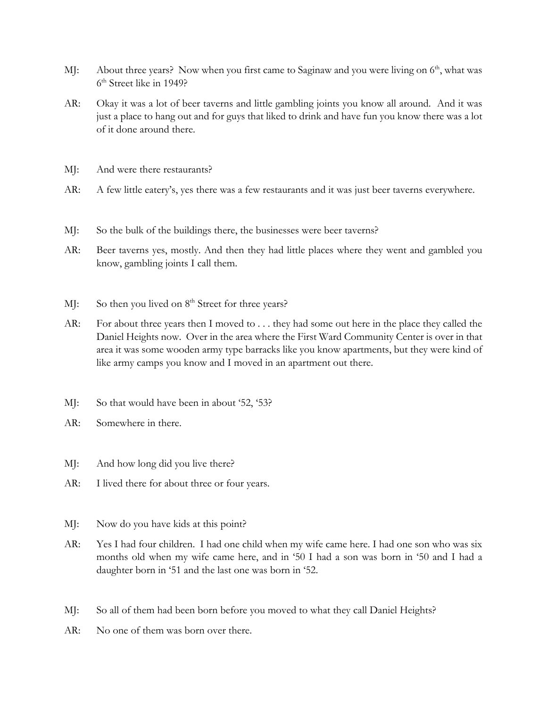- MJ: About three years? Now when you first came to Saginaw and you were living on  $6<sup>th</sup>$ , what was 6th Street like in 1949?
- AR: Okay it was a lot of beer taverns and little gambling joints you know all around. And it was just a place to hang out and for guys that liked to drink and have fun you know there was a lot of it done around there.
- MJ: And were there restaurants?
- AR: A few little eatery's, yes there was a few restaurants and it was just beer taverns everywhere.
- MJ: So the bulk of the buildings there, the businesses were beer taverns?
- AR: Beer taverns yes, mostly. And then they had little places where they went and gambled you know, gambling joints I call them.
- MJ: So then you lived on  $8<sup>th</sup>$  Street for three years?
- AR: For about three years then I moved to ... they had some out here in the place they called the Daniel Heights now. Over in the area where the First Ward Community Center is over in that area it was some wooden army type barracks like you know apartments, but they were kind of like army camps you know and I moved in an apartment out there.
- MJ: So that would have been in about '52, '53?
- AR: Somewhere in there.
- MJ: And how long did you live there?
- AR: I lived there for about three or four years.
- MJ: Now do you have kids at this point?
- AR: Yes I had four children. I had one child when my wife came here. I had one son who was six months old when my wife came here, and in '50 I had a son was born in '50 and I had a daughter born in '51 and the last one was born in '52.
- MJ: So all of them had been born before you moved to what they call Daniel Heights?
- AR: No one of them was born over there.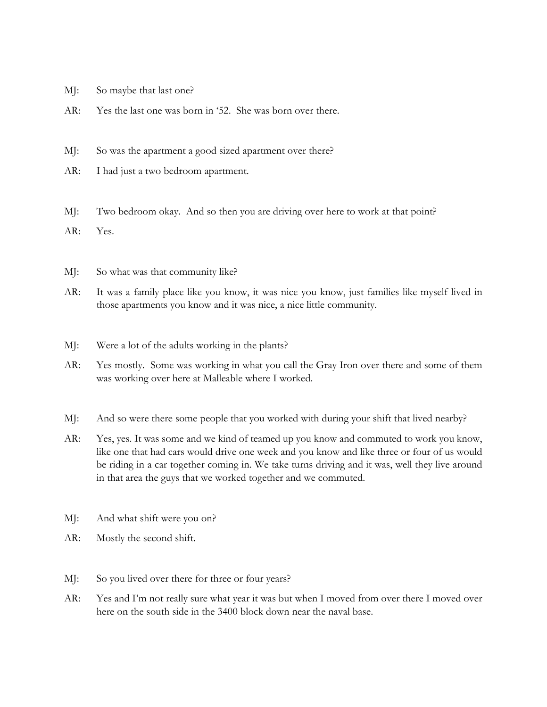- MJ: So maybe that last one?
- AR: Yes the last one was born in '52. She was born over there.
- MJ: So was the apartment a good sized apartment over there?
- AR: I had just a two bedroom apartment.
- MJ: Two bedroom okay. And so then you are driving over here to work at that point?
- AR: Yes.
- MJ: So what was that community like?
- AR: It was a family place like you know, it was nice you know, just families like myself lived in those apartments you know and it was nice, a nice little community.
- MJ: Were a lot of the adults working in the plants?
- AR: Yes mostly. Some was working in what you call the Gray Iron over there and some of them was working over here at Malleable where I worked.
- MJ: And so were there some people that you worked with during your shift that lived nearby?
- AR: Yes, yes. It was some and we kind of teamed up you know and commuted to work you know, like one that had cars would drive one week and you know and like three or four of us would be riding in a car together coming in. We take turns driving and it was, well they live around in that area the guys that we worked together and we commuted.
- MJ: And what shift were you on?
- AR: Mostly the second shift.
- MJ: So you lived over there for three or four years?
- AR: Yes and I'm not really sure what year it was but when I moved from over there I moved over here on the south side in the 3400 block down near the naval base.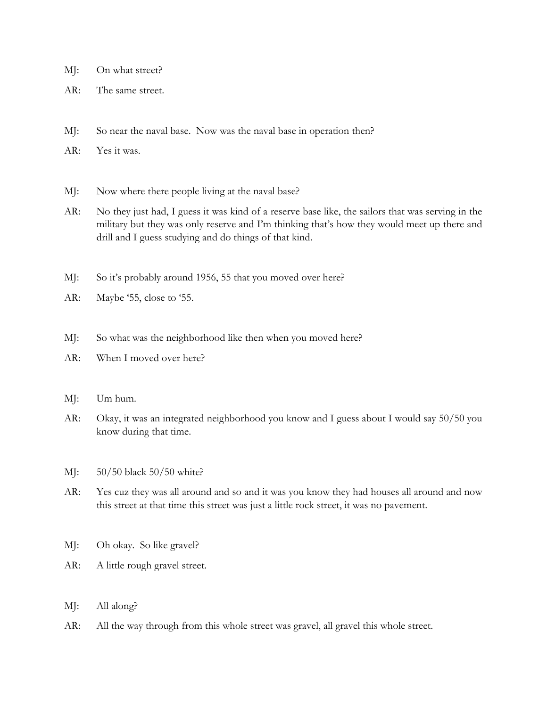- MJ: On what street?
- AR: The same street.
- MJ: So near the naval base. Now was the naval base in operation then?
- AR: Yes it was.
- MJ: Now where there people living at the naval base?
- AR: No they just had, I guess it was kind of a reserve base like, the sailors that was serving in the military but they was only reserve and I'm thinking that's how they would meet up there and drill and I guess studying and do things of that kind.
- MJ: So it's probably around 1956, 55 that you moved over here?
- AR: Maybe '55, close to '55.
- MJ: So what was the neighborhood like then when you moved here?
- AR: When I moved over here?
- MJ: Um hum.
- AR: Okay, it was an integrated neighborhood you know and I guess about I would say 50/50 you know during that time.
- MJ: 50/50 black 50/50 white?
- AR: Yes cuz they was all around and so and it was you know they had houses all around and now this street at that time this street was just a little rock street, it was no pavement.
- MJ: Oh okay. So like gravel?
- AR: A little rough gravel street.
- MJ: All along?
- AR: All the way through from this whole street was gravel, all gravel this whole street.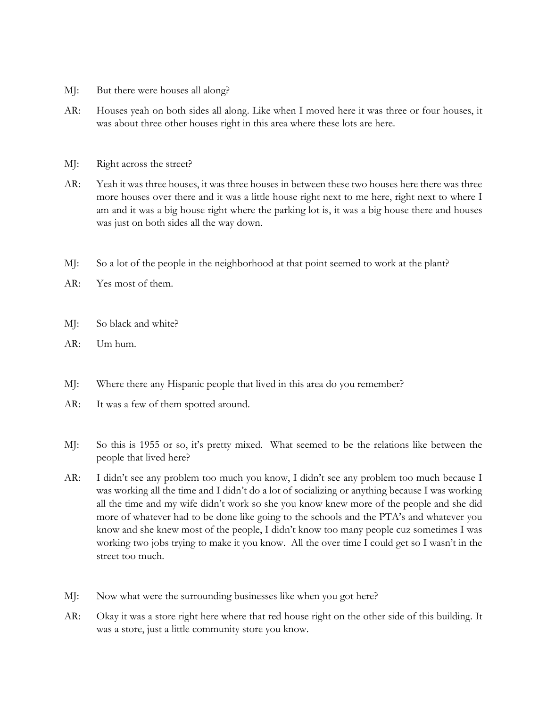- MJ: But there were houses all along?
- AR: Houses yeah on both sides all along. Like when I moved here it was three or four houses, it was about three other houses right in this area where these lots are here.
- MJ: Right across the street?
- AR: Yeah it was three houses, it was three houses in between these two houses here there was three more houses over there and it was a little house right next to me here, right next to where I am and it was a big house right where the parking lot is, it was a big house there and houses was just on both sides all the way down.
- MJ: So a lot of the people in the neighborhood at that point seemed to work at the plant?
- AR: Yes most of them.
- MJ: So black and white?
- AR: Um hum.
- MJ: Where there any Hispanic people that lived in this area do you remember?
- AR: It was a few of them spotted around.
- MJ: So this is 1955 or so, it's pretty mixed. What seemed to be the relations like between the people that lived here?
- AR: I didn't see any problem too much you know, I didn't see any problem too much because I was working all the time and I didn't do a lot of socializing or anything because I was working all the time and my wife didn't work so she you know knew more of the people and she did more of whatever had to be done like going to the schools and the PTA's and whatever you know and she knew most of the people, I didn't know too many people cuz sometimes I was working two jobs trying to make it you know. All the over time I could get so I wasn't in the street too much.
- MJ: Now what were the surrounding businesses like when you got here?
- AR: Okay it was a store right here where that red house right on the other side of this building. It was a store, just a little community store you know.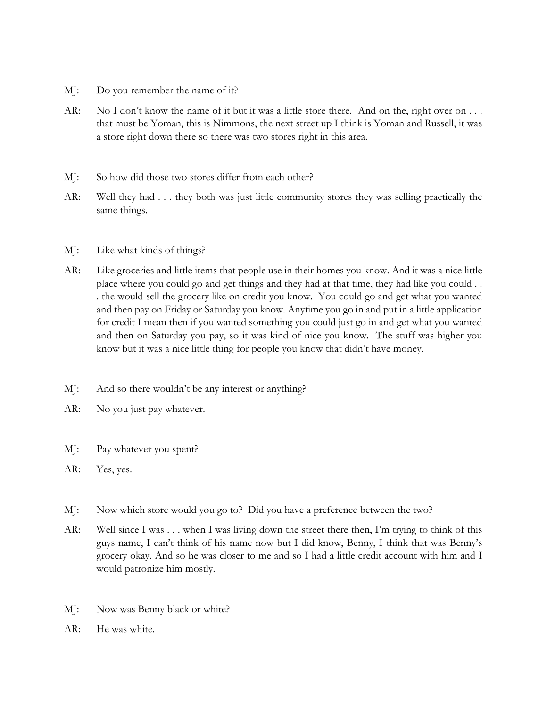- MJ: Do you remember the name of it?
- AR: No I don't know the name of it but it was a little store there. And on the, right over on ... that must be Yoman, this is Nimmons, the next street up I think is Yoman and Russell, it was a store right down there so there was two stores right in this area.
- MJ: So how did those two stores differ from each other?
- AR: Well they had . . . they both was just little community stores they was selling practically the same things.
- MJ: Like what kinds of things?
- AR: Like groceries and little items that people use in their homes you know. And it was a nice little place where you could go and get things and they had at that time, they had like you could . . . the would sell the grocery like on credit you know. You could go and get what you wanted and then pay on Friday or Saturday you know. Anytime you go in and put in a little application for credit I mean then if you wanted something you could just go in and get what you wanted and then on Saturday you pay, so it was kind of nice you know. The stuff was higher you know but it was a nice little thing for people you know that didn't have money.
- MJ: And so there wouldn't be any interest or anything?
- AR: No you just pay whatever.
- MJ: Pay whatever you spent?
- AR: Yes, yes.
- MJ: Now which store would you go to? Did you have a preference between the two?
- AR: Well since I was . . . when I was living down the street there then, I'm trying to think of this guys name, I can't think of his name now but I did know, Benny, I think that was Benny's grocery okay. And so he was closer to me and so I had a little credit account with him and I would patronize him mostly.
- MJ: Now was Benny black or white?
- AR: He was white.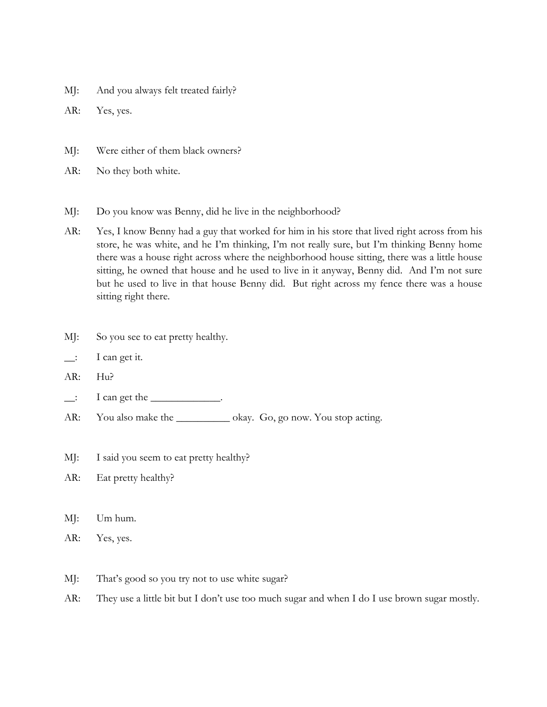MJ: And you always felt treated fairly?

AR: Yes, yes.

- MJ: Were either of them black owners?
- AR: No they both white.
- MJ: Do you know was Benny, did he live in the neighborhood?
- AR: Yes, I know Benny had a guy that worked for him in his store that lived right across from his store, he was white, and he I'm thinking, I'm not really sure, but I'm thinking Benny home there was a house right across where the neighborhood house sitting, there was a little house sitting, he owned that house and he used to live in it anyway, Benny did. And I'm not sure but he used to live in that house Benny did. But right across my fence there was a house sitting right there.
- MJ: So you see to eat pretty healthy.
- \_\_: I can get it.
- AR: Hu?
- $\Box$ : I can get the  $\Box$ .
- AR: You also make the \_\_\_\_\_\_\_\_\_\_\_\_\_ okay. Go, go now. You stop acting.
- MJ: I said you seem to eat pretty healthy?
- AR: Eat pretty healthy?
- MJ: Um hum.
- AR: Yes, yes.
- MJ: That's good so you try not to use white sugar?
- AR: They use a little bit but I don't use too much sugar and when I do I use brown sugar mostly.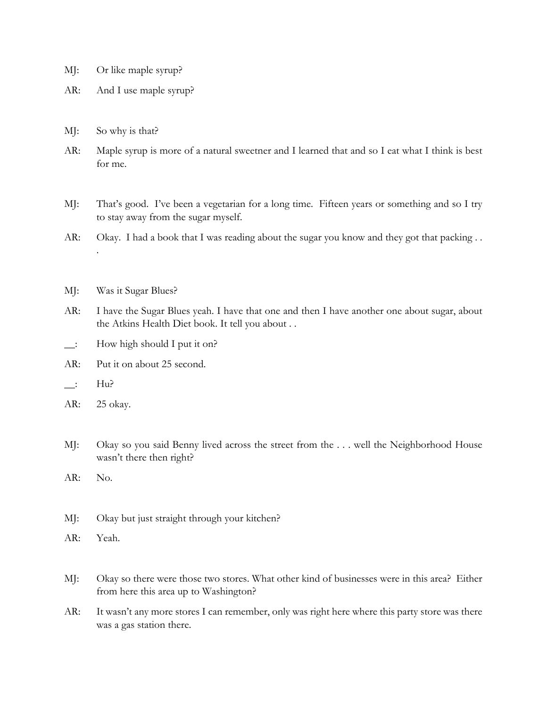- MJ: Or like maple syrup?
- AR: And I use maple syrup?
- MJ: So why is that?
- AR: Maple syrup is more of a natural sweetner and I learned that and so I eat what I think is best for me.
- MJ: That's good. I've been a vegetarian for a long time. Fifteen years or something and so I try to stay away from the sugar myself.
- AR: Okay. I had a book that I was reading about the sugar you know and they got that packing ...
- MJ: Was it Sugar Blues?
- AR: I have the Sugar Blues yeah. I have that one and then I have another one about sugar, about the Atkins Health Diet book. It tell you about . .
- $\therefore$  How high should I put it on?
- AR: Put it on about 25 second.
- $\qquad \qquad$   $\qquad$   $\qquad$   $\qquad$   $\qquad$   $\qquad$   $\qquad$   $\qquad$   $\qquad$   $\qquad$   $\qquad$   $\qquad$   $\qquad$   $\qquad$   $\qquad$   $\qquad$   $\qquad$   $\qquad$   $\qquad$   $\qquad$   $\qquad$   $\qquad$   $\qquad$   $\qquad$   $\qquad$   $\qquad$   $\qquad$   $\qquad$   $\qquad$   $\qquad$   $\qquad$   $\qquad$   $\qquad$   $\qquad$   $\qquad$   $\qquad$   $\$
- AR: 25 okay.

.

- MJ: Okay so you said Benny lived across the street from the . . . well the Neighborhood House wasn't there then right?
- AR: No.
- MJ: Okay but just straight through your kitchen?
- AR: Yeah.
- MJ: Okay so there were those two stores. What other kind of businesses were in this area? Either from here this area up to Washington?
- AR: It wasn't any more stores I can remember, only was right here where this party store was there was a gas station there.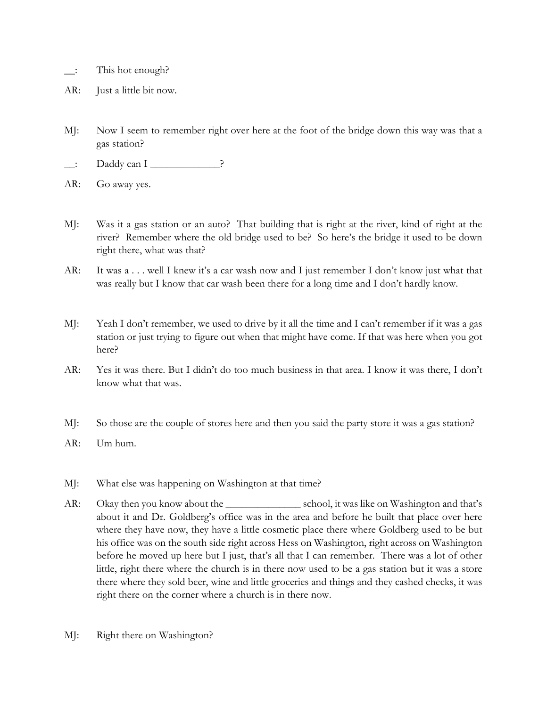- \_\_: This hot enough?
- AR: Just a little bit now.
- MJ: Now I seem to remember right over here at the foot of the bridge down this way was that a gas station?
- \_\_: Daddy can I \_\_\_\_\_\_\_\_\_\_\_\_\_?
- AR: Go away yes.
- MJ: Was it a gas station or an auto? That building that is right at the river, kind of right at the river? Remember where the old bridge used to be? So here's the bridge it used to be down right there, what was that?
- AR: It was a . . . well I knew it's a car wash now and I just remember I don't know just what that was really but I know that car wash been there for a long time and I don't hardly know.
- MJ: Yeah I don't remember, we used to drive by it all the time and I can't remember if it was a gas station or just trying to figure out when that might have come. If that was here when you got here?
- AR: Yes it was there. But I didn't do too much business in that area. I know it was there, I don't know what that was.
- MJ: So those are the couple of stores here and then you said the party store it was a gas station?
- AR: Um hum.
- MJ: What else was happening on Washington at that time?
- AR: Okay then you know about the \_\_\_\_\_\_\_\_\_\_\_\_\_\_\_\_\_\_\_\_\_\_ school, it was like on Washington and that's about it and Dr. Goldberg's office was in the area and before he built that place over here where they have now, they have a little cosmetic place there where Goldberg used to be but his office was on the south side right across Hess on Washington, right across on Washington before he moved up here but I just, that's all that I can remember. There was a lot of other little, right there where the church is in there now used to be a gas station but it was a store there where they sold beer, wine and little groceries and things and they cashed checks, it was right there on the corner where a church is in there now.
- MJ: Right there on Washington?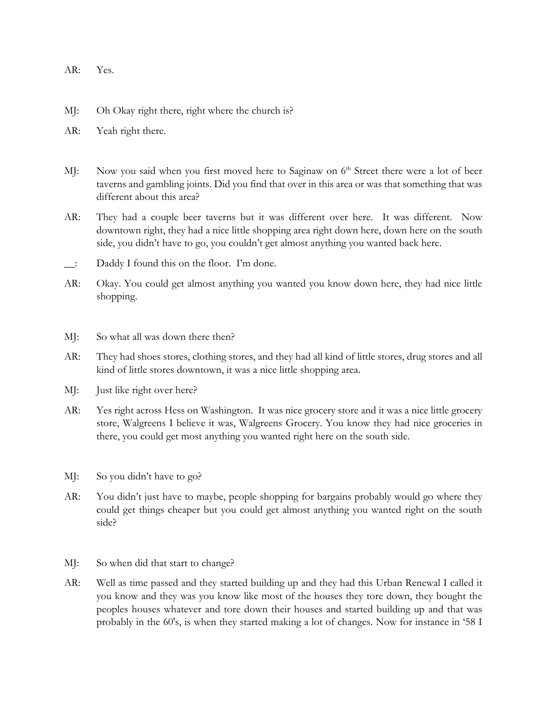- AR: Yes.
- MJ: Oh Okay right there, right where the church is?
- AR: Yeah right there.
- MJ: Now you said when you first moved here to Saginaw on 6<sup>th</sup> Street there were a lot of beer taverns and gambling joints. Did you find that over in this area or was that something that was different about this area?
- AR: They had a couple beer taverns but it was different over here. It was different. Now downtown right, they had a nice little shopping area right down here, down here on the south side, you didn't have to go, you couldn't get almost anything you wanted back here.
- \_\_: Daddy I found this on the floor. I'm done.
- AR: Okay. You could get almost anything you wanted you know down here, they had nice little shopping.
- MJ: So what all was down there then?
- AR: They had shoes stores, clothing stores, and they had all kind of little stores, drug stores and all kind of little stores downtown, it was a nice little shopping area.
- MJ: Just like right over here?
- AR: Yes right across Hess on Washington. It was nice grocery store and it was a nice little grocery store, Walgreens I believe it was, Walgreens Grocery. You know they had nice groceries in there, you could get most anything you wanted right here on the south side.
- MJ: So you didn't have to go?
- AR: You didn't just have to maybe, people shopping for bargains probably would go where they could get things cheaper but you could get almost anything you wanted right on the south side?
- MJ: So when did that start to change?
- AR: Well as time passed and they started building up and they had this Urban Renewal I called it you know and they was you know like most of the houses they tore down, they bought the peoples houses whatever and tore down their houses and started building up and that was probably in the 60's, is when they started making a lot of changes. Now for instance in '58 I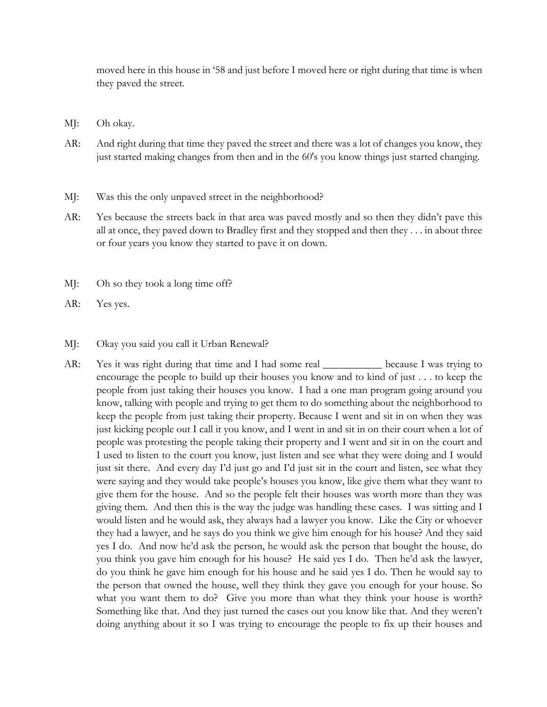moved here in this house in '58 and just before I moved here or right during that time is when they paved the street.

- MJ: Oh okay.
- AR: And right during that time they paved the street and there was a lot of changes you know, they just started making changes from then and in the 60's you know things just started changing.
- MJ: Was this the only unpaved street in the neighborhood?
- AR: Yes because the streets back in that area was paved mostly and so then they didn't pave this all at once, they paved down to Bradley first and they stopped and then they . . . in about three or four years you know they started to pave it on down.
- MJ: Oh so they took a long time off?
- AR: Yes yes.

## MJ: Okay you said you call it Urban Renewal?

AR: Yes it was right during that time and I had some real \_\_\_\_\_\_\_\_\_\_\_\_ because I was trying to encourage the people to build up their houses you know and to kind of just . . . to keep the people from just taking their houses you know. I had a one man program going around you know, talking with people and trying to get them to do something about the neighborhood to keep the people from just taking their property. Because I went and sit in on when they was just kicking people out I call it you know, and I went in and sit in on their court when a lot of people was protesting the people taking their property and I went and sit in on the court and I used to listen to the court you know, just listen and see what they were doing and I would just sit there. And every day I'd just go and I'd just sit in the court and listen, see what they were saying and they would take people's houses you know, like give them what they want to give them for the house. And so the people felt their houses was worth more than they was giving them. And then this is the way the judge was handling these cases. I was sitting and I would listen and he would ask, they always had a lawyer you know. Like the City or whoever they had a lawyer, and he says do you think we give him enough for his house? And they said yes I do. And now he'd ask the person, he would ask the person that bought the house, do you think you gave him enough for his house? He said yes I do. Then he'd ask the lawyer, do you think he gave him enough for his house and he said yes I do. Then he would say to the person that owned the house, well they think they gave you enough for your house. So what you want them to do? Give you more than what they think your house is worth? Something like that. And they just turned the cases out you know like that. And they weren't doing anything about it so I was trying to encourage the people to fix up their houses and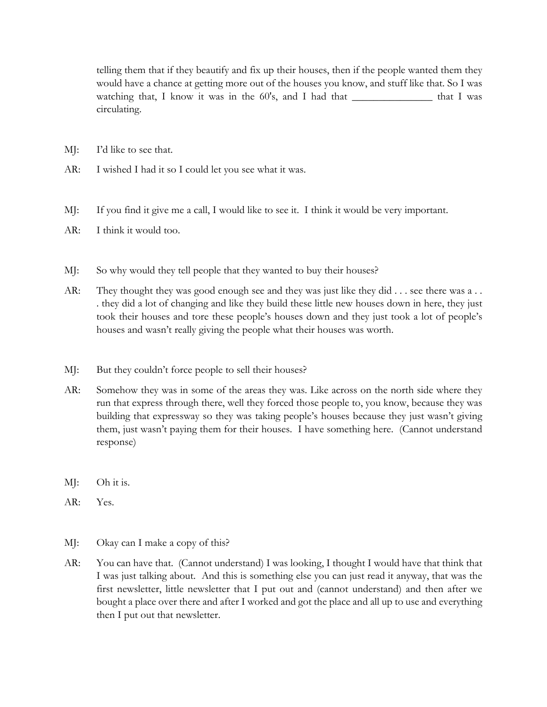telling them that if they beautify and fix up their houses, then if the people wanted them they would have a chance at getting more out of the houses you know, and stuff like that. So I was watching that, I know it was in the 60's, and I had that \_\_\_\_\_\_\_\_\_\_\_\_\_\_\_\_\_\_\_\_ that I was circulating.

- MJ: I'd like to see that.
- AR: I wished I had it so I could let you see what it was.
- MJ: If you find it give me a call, I would like to see it. I think it would be very important.
- AR: I think it would too.
- MJ: So why would they tell people that they wanted to buy their houses?
- AR: They thought they was good enough see and they was just like they did . . . see there was a . . . they did a lot of changing and like they build these little new houses down in here, they just took their houses and tore these people's houses down and they just took a lot of people's houses and wasn't really giving the people what their houses was worth.
- MJ: But they couldn't force people to sell their houses?
- AR: Somehow they was in some of the areas they was. Like across on the north side where they run that express through there, well they forced those people to, you know, because they was building that expressway so they was taking people's houses because they just wasn't giving them, just wasn't paying them for their houses. I have something here. (Cannot understand response)
- MJ: Oh it is.
- AR: Yes.
- MJ: Okay can I make a copy of this?
- AR: You can have that. (Cannot understand) I was looking, I thought I would have that think that I was just talking about. And this is something else you can just read it anyway, that was the first newsletter, little newsletter that I put out and (cannot understand) and then after we bought a place over there and after I worked and got the place and all up to use and everything then I put out that newsletter.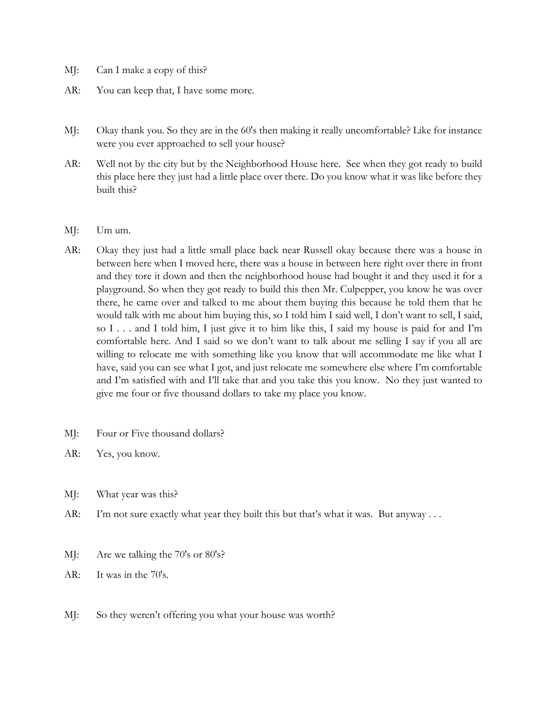- MJ: Can I make a copy of this?
- AR: You can keep that, I have some more.
- MJ: Okay thank you. So they are in the 60's then making it really uncomfortable? Like for instance were you ever approached to sell your house?
- AR: Well not by the city but by the Neighborhood House here. See when they got ready to build this place here they just had a little place over there. Do you know what it was like before they built this?
- MJ: Um um.
- AR: Okay they just had a little small place back near Russell okay because there was a house in between here when I moved here, there was a house in between here right over there in front and they tore it down and then the neighborhood house had bought it and they used it for a playground. So when they got ready to build this then Mr. Culpepper, you know he was over there, he came over and talked to me about them buying this because he told them that he would talk with me about him buying this, so I told him I said well, I don't want to sell, I said, so I . . . and I told him, I just give it to him like this, I said my house is paid for and I'm comfortable here. And I said so we don't want to talk about me selling I say if you all are willing to relocate me with something like you know that will accommodate me like what I have, said you can see what I got, and just relocate me somewhere else where I'm comfortable and I'm satisfied with and I'll take that and you take this you know. No they just wanted to give me four or five thousand dollars to take my place you know.
- MJ: Four or Five thousand dollars?
- AR: Yes, you know.
- MJ: What year was this?
- AR: I'm not sure exactly what year they built this but that's what it was. But anyway . . .
- MJ: Are we talking the 70's or 80's?
- AR: It was in the 70's.
- MJ: So they weren't offering you what your house was worth?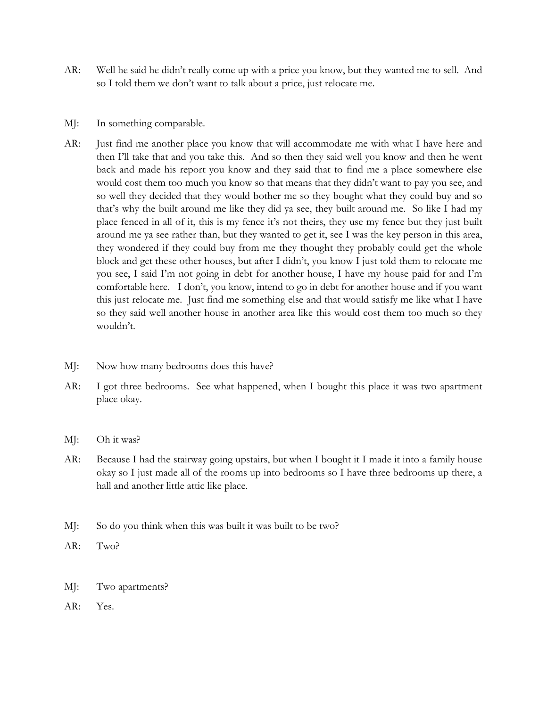- AR: Well he said he didn't really come up with a price you know, but they wanted me to sell. And so I told them we don't want to talk about a price, just relocate me.
- MJ: In something comparable.
- AR: Just find me another place you know that will accommodate me with what I have here and then I'll take that and you take this. And so then they said well you know and then he went back and made his report you know and they said that to find me a place somewhere else would cost them too much you know so that means that they didn't want to pay you see, and so well they decided that they would bother me so they bought what they could buy and so that's why the built around me like they did ya see, they built around me. So like I had my place fenced in all of it, this is my fence it's not theirs, they use my fence but they just built around me ya see rather than, but they wanted to get it, see I was the key person in this area, they wondered if they could buy from me they thought they probably could get the whole block and get these other houses, but after I didn't, you know I just told them to relocate me you see, I said I'm not going in debt for another house, I have my house paid for and I'm comfortable here. I don't, you know, intend to go in debt for another house and if you want this just relocate me. Just find me something else and that would satisfy me like what I have so they said well another house in another area like this would cost them too much so they wouldn't.
- MJ: Now how many bedrooms does this have?
- AR: I got three bedrooms. See what happened, when I bought this place it was two apartment place okay.
- MJ: Oh it was?
- AR: Because I had the stairway going upstairs, but when I bought it I made it into a family house okay so I just made all of the rooms up into bedrooms so I have three bedrooms up there, a hall and another little attic like place.
- MJ: So do you think when this was built it was built to be two?
- AR: Two?
- MJ: Two apartments?
- AR: Yes.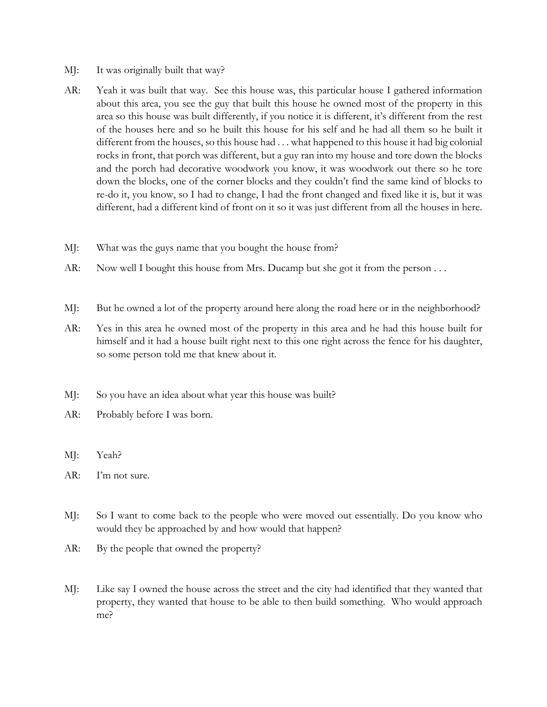- MJ: It was originally built that way?
- AR: Yeah it was built that way. See this house was, this particular house I gathered information about this area, you see the guy that built this house he owned most of the property in this area so this house was built differently, if you notice it is different, it's different from the rest of the houses here and so he built this house for his self and he had all them so he built it different from the houses, so this house had . . . what happened to this house it had big colonial rocks in front, that porch was different, but a guy ran into my house and tore down the blocks and the porch had decorative woodwork you know, it was woodwork out there so he tore down the blocks, one of the corner blocks and they couldn't find the same kind of blocks to re-do it, you know, so I had to change, I had the front changed and fixed like it is, but it was different, had a different kind of front on it so it was just different from all the houses in here.
- MJ: What was the guys name that you bought the house from?
- AR: Now well I bought this house from Mrs. Ducamp but she got it from the person . . .
- MJ: But he owned a lot of the property around here along the road here or in the neighborhood?
- AR: Yes in this area he owned most of the property in this area and he had this house built for himself and it had a house built right next to this one right across the fence for his daughter, so some person told me that knew about it.
- MJ: So you have an idea about what year this house was built?
- AR: Probably before I was born.
- MJ: Yeah?
- AR: I'm not sure.
- MJ: So I want to come back to the people who were moved out essentially. Do you know who would they be approached by and how would that happen?
- AR: By the people that owned the property?
- MJ: Like say I owned the house across the street and the city had identified that they wanted that property, they wanted that house to be able to then build something. Who would approach me?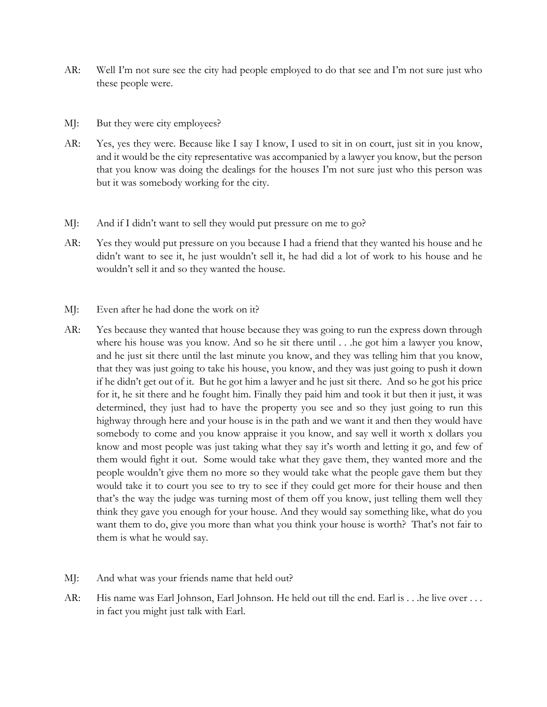- AR: Well I'm not sure see the city had people employed to do that see and I'm not sure just who these people were.
- MJ: But they were city employees?
- AR: Yes, yes they were. Because like I say I know, I used to sit in on court, just sit in you know, and it would be the city representative was accompanied by a lawyer you know, but the person that you know was doing the dealings for the houses I'm not sure just who this person was but it was somebody working for the city.
- MJ: And if I didn't want to sell they would put pressure on me to go?
- AR: Yes they would put pressure on you because I had a friend that they wanted his house and he didn't want to see it, he just wouldn't sell it, he had did a lot of work to his house and he wouldn't sell it and so they wanted the house.
- MJ: Even after he had done the work on it?
- AR: Yes because they wanted that house because they was going to run the express down through where his house was you know. And so he sit there until . . .he got him a lawyer you know, and he just sit there until the last minute you know, and they was telling him that you know, that they was just going to take his house, you know, and they was just going to push it down if he didn't get out of it. But he got him a lawyer and he just sit there. And so he got his price for it, he sit there and he fought him. Finally they paid him and took it but then it just, it was determined, they just had to have the property you see and so they just going to run this highway through here and your house is in the path and we want it and then they would have somebody to come and you know appraise it you know, and say well it worth x dollars you know and most people was just taking what they say it's worth and letting it go, and few of them would fight it out. Some would take what they gave them, they wanted more and the people wouldn't give them no more so they would take what the people gave them but they would take it to court you see to try to see if they could get more for their house and then that's the way the judge was turning most of them off you know, just telling them well they think they gave you enough for your house. And they would say something like, what do you want them to do, give you more than what you think your house is worth? That's not fair to them is what he would say.
- MJ: And what was your friends name that held out?
- AR: His name was Earl Johnson, Earl Johnson. He held out till the end. Earl is . . .he live over . . . in fact you might just talk with Earl.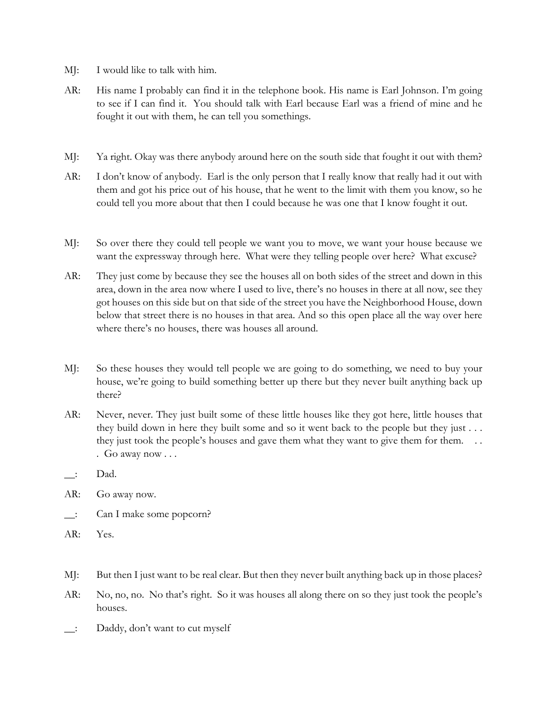- MJ: I would like to talk with him.
- AR: His name I probably can find it in the telephone book. His name is Earl Johnson. I'm going to see if I can find it. You should talk with Earl because Earl was a friend of mine and he fought it out with them, he can tell you somethings.
- MJ: Ya right. Okay was there anybody around here on the south side that fought it out with them?
- AR: I don't know of anybody. Earl is the only person that I really know that really had it out with them and got his price out of his house, that he went to the limit with them you know, so he could tell you more about that then I could because he was one that I know fought it out.
- MJ: So over there they could tell people we want you to move, we want your house because we want the expressway through here. What were they telling people over here? What excuse?
- AR: They just come by because they see the houses all on both sides of the street and down in this area, down in the area now where I used to live, there's no houses in there at all now, see they got houses on this side but on that side of the street you have the Neighborhood House, down below that street there is no houses in that area. And so this open place all the way over here where there's no houses, there was houses all around.
- MJ: So these houses they would tell people we are going to do something, we need to buy your house, we're going to build something better up there but they never built anything back up there?
- AR: Never, never. They just built some of these little houses like they got here, little houses that they build down in here they built some and so it went back to the people but they just . . . they just took the people's houses and gave them what they want to give them for them... . Go away now . . .
- $\quad$  Dad.
- AR: Go away now.
- \_\_: Can I make some popcorn?
- AR: Yes.
- MJ: But then I just want to be real clear. But then they never built anything back up in those places?
- AR: No, no, no. No that's right. So it was houses all along there on so they just took the people's houses.
- \_\_: Daddy, don't want to cut myself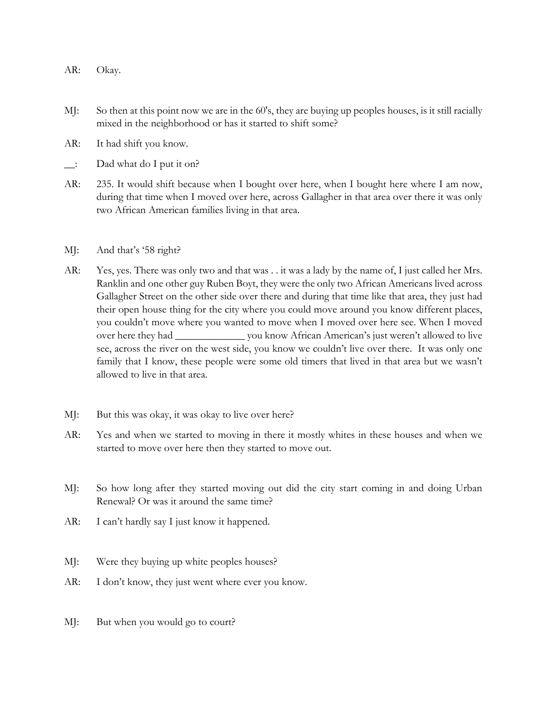- AR: Okay.
- MJ: So then at this point now we are in the 60's, they are buying up peoples houses, is it still racially mixed in the neighborhood or has it started to shift some?
- AR: It had shift you know.
- $\Box$ : Dad what do I put it on?
- AR: 235. It would shift because when I bought over here, when I bought here where I am now, during that time when I moved over here, across Gallagher in that area over there it was only two African American families living in that area.
- MJ: And that's '58 right?
- AR: Yes, yes. There was only two and that was . . it was a lady by the name of, I just called her Mrs. Ranklin and one other guy Ruben Boyt, they were the only two African Americans lived across Gallagher Street on the other side over there and during that time like that area, they just had their open house thing for the city where you could move around you know different places, you couldn't move where you wanted to move when I moved over here see. When I moved over here they had \_\_\_\_\_\_\_\_\_\_\_\_\_ you know African American's just weren't allowed to live see, across the river on the west side, you know we couldn't live over there. It was only one family that I know, these people were some old timers that lived in that area but we wasn't allowed to live in that area.
- MJ: But this was okay, it was okay to live over here?
- AR: Yes and when we started to moving in there it mostly whites in these houses and when we started to move over here then they started to move out.
- MJ: So how long after they started moving out did the city start coming in and doing Urban Renewal? Or was it around the same time?
- AR: I can't hardly say I just know it happened.
- MJ: Were they buying up white peoples houses?
- AR: I don't know, they just went where ever you know.
- MJ: But when you would go to court?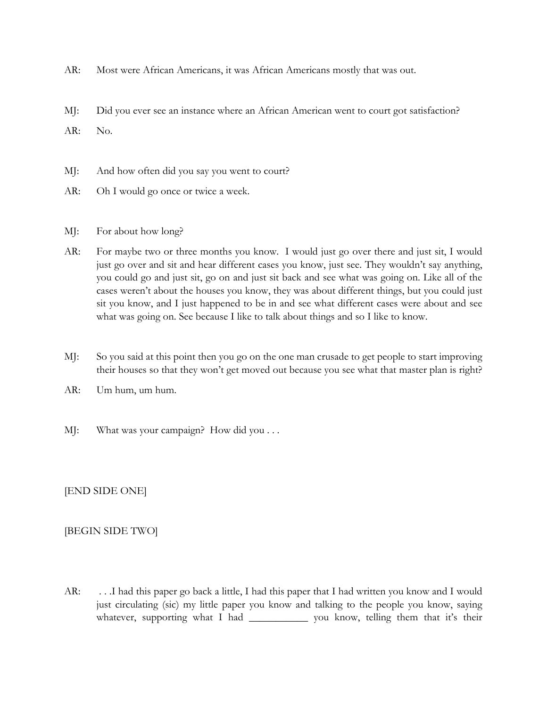- AR: Most were African Americans, it was African Americans mostly that was out.
- MJ: Did you ever see an instance where an African American went to court got satisfaction?

AR: No.

- MJ: And how often did you say you went to court?
- AR: Oh I would go once or twice a week.
- MJ: For about how long?
- AR: For maybe two or three months you know. I would just go over there and just sit, I would just go over and sit and hear different cases you know, just see. They wouldn't say anything, you could go and just sit, go on and just sit back and see what was going on. Like all of the cases weren't about the houses you know, they was about different things, but you could just sit you know, and I just happened to be in and see what different cases were about and see what was going on. See because I like to talk about things and so I like to know.
- MJ: So you said at this point then you go on the one man crusade to get people to start improving their houses so that they won't get moved out because you see what that master plan is right?
- AR: Um hum, um hum.
- MJ: What was your campaign? How did you . . .

[END SIDE ONE]

## [BEGIN SIDE TWO]

AR: . . .I had this paper go back a little, I had this paper that I had written you know and I would just circulating (sic) my little paper you know and talking to the people you know, saying whatever, supporting what I had \_\_\_\_\_\_\_\_\_\_\_\_\_ you know, telling them that it's their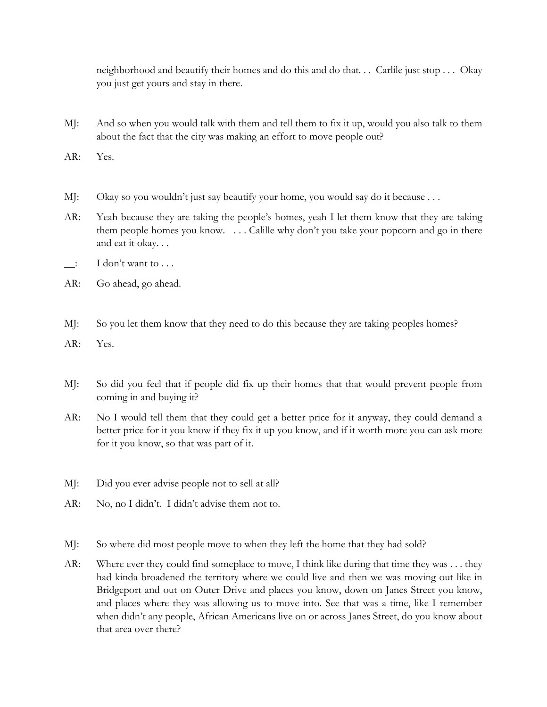neighborhood and beautify their homes and do this and do that. . . Carlile just stop . . . Okay you just get yours and stay in there.

- MJ: And so when you would talk with them and tell them to fix it up, would you also talk to them about the fact that the city was making an effort to move people out?
- AR: Yes.
- MJ: Okay so you wouldn't just say beautify your home, you would say do it because ...
- AR: Yeah because they are taking the people's homes, yeah I let them know that they are taking them people homes you know. . . . Calille why don't you take your popcorn and go in there and eat it okay. . .
- $\Box$ : I don't want to  $\ldots$
- AR: Go ahead, go ahead.
- MJ: So you let them know that they need to do this because they are taking peoples homes?
- AR: Yes.
- MJ: So did you feel that if people did fix up their homes that that would prevent people from coming in and buying it?
- AR: No I would tell them that they could get a better price for it anyway, they could demand a better price for it you know if they fix it up you know, and if it worth more you can ask more for it you know, so that was part of it.
- MJ: Did you ever advise people not to sell at all?
- AR: No, no I didn't. I didn't advise them not to.
- MJ: So where did most people move to when they left the home that they had sold?
- AR: Where ever they could find someplace to move, I think like during that time they was . . . they had kinda broadened the territory where we could live and then we was moving out like in Bridgeport and out on Outer Drive and places you know, down on Janes Street you know, and places where they was allowing us to move into. See that was a time, like I remember when didn't any people, African Americans live on or across Janes Street, do you know about that area over there?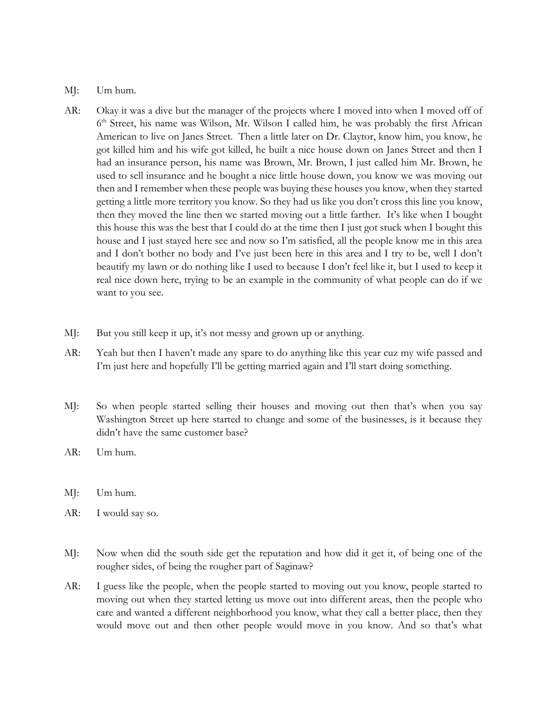- MJ: Um hum.
- AR: Okay it was a dive but the manager of the projects where I moved into when I moved off of  $6<sup>th</sup> Street, his name was Wilson, Mr. Wilson I called him, he was probably the first African$ American to live on Janes Street. Then a little later on Dr. Claytor, know him, you know, he got killed him and his wife got killed, he built a nice house down on Janes Street and then I had an insurance person, his name was Brown, Mr. Brown, I just called him Mr. Brown, he used to sell insurance and he bought a nice little house down, you know we was moving out then and I remember when these people was buying these houses you know, when they started getting a little more territory you know. So they had us like you don't cross this line you know, then they moved the line then we started moving out a little farther. It's like when I bought this house this was the best that I could do at the time then I just got stuck when I bought this house and I just stayed here see and now so I'm satisfied, all the people know me in this area and I don't bother no body and I've just been here in this area and I try to be, well I don't beautify my lawn or do nothing like I used to because I don't feel like it, but I used to keep it real nice down here, trying to be an example in the community of what people can do if we want to you see.
- MJ: But you still keep it up, it's not messy and grown up or anything.
- AR: Yeah but then I haven't made any spare to do anything like this year cuz my wife passed and I'm just here and hopefully I'll be getting married again and I'll start doing something.
- MJ: So when people started selling their houses and moving out then that's when you say Washington Street up here started to change and some of the businesses, is it because they didn't have the same customer base?
- AR: Um hum.
- MJ: Um hum.
- AR: I would say so.
- MJ: Now when did the south side get the reputation and how did it get it, of being one of the rougher sides, of being the rougher part of Saginaw?
- AR: I guess like the people, when the people started to moving out you know, people started to moving out when they started letting us move out into different areas, then the people who care and wanted a different neighborhood you know, what they call a better place, then they would move out and then other people would move in you know. And so that's what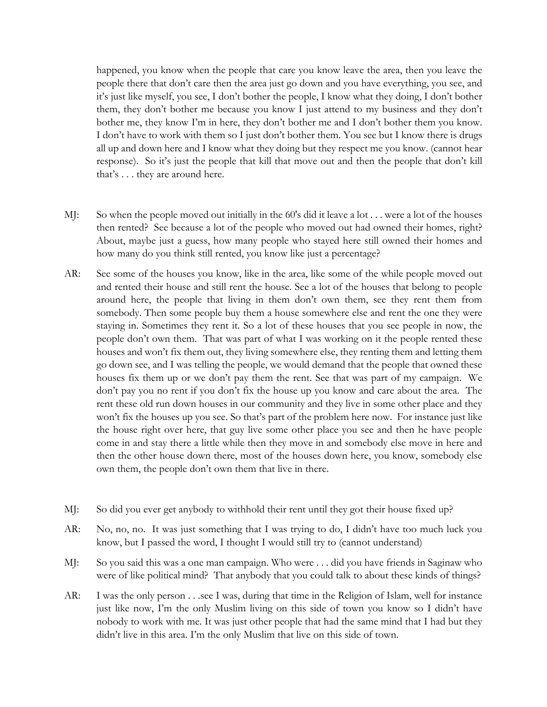happened, you know when the people that care you know leave the area, then you leave the people there that don't care then the area just go down and you have everything, you see, and it's just like myself, you see, I don't bother the people, I know what they doing, I don't bother them, they don't bother me because you know I just attend to my business and they don't bother me, they know I'm in here, they don't bother me and I don't bother them you know. I don't have to work with them so I just don't bother them. You see but I know there is drugs all up and down here and I know what they doing but they respect me you know. (cannot hear response). So it's just the people that kill that move out and then the people that don't kill that's . . . they are around here.

- MJ: So when the people moved out initially in the 60's did it leave a lot . . . were a lot of the houses then rented? See because a lot of the people who moved out had owned their homes, right? About, maybe just a guess, how many people who stayed here still owned their homes and how many do you think still rented, you know like just a percentage?
- AR: See some of the houses you know, like in the area, like some of the while people moved out and rented their house and still rent the house. See a lot of the houses that belong to people around here, the people that living in them don't own them, see they rent them from somebody. Then some people buy them a house somewhere else and rent the one they were staying in. Sometimes they rent it. So a lot of these houses that you see people in now, the people don't own them. That was part of what I was working on it the people rented these houses and won't fix them out, they living somewhere else, they renting them and letting them go down see, and I was telling the people, we would demand that the people that owned these houses fix them up or we don't pay them the rent. See that was part of my campaign. We don't pay you no rent if you don't fix the house up you know and care about the area. The rent these old run down houses in our community and they live in some other place and they won't fix the houses up you see. So that's part of the problem here now. For instance just like the house right over here, that guy live some other place you see and then he have people come in and stay there a little while then they move in and somebody else move in here and then the other house down there, most of the houses down here, you know, somebody else own them, the people don't own them that live in there.
- MJ: So did you ever get anybody to withhold their rent until they got their house fixed up?
- AR: No, no, no. It was just something that I was trying to do, I didn't have too much luck you know, but I passed the word, I thought I would still try to (cannot understand)
- MJ: So you said this was a one man campaign. Who were . . . did you have friends in Saginaw who were of like political mind? That anybody that you could talk to about these kinds of things?
- AR: I was the only person . . .see I was, during that time in the Religion of Islam, well for instance just like now, I'm the only Muslim living on this side of town you know so I didn't have nobody to work with me. It was just other people that had the same mind that I had but they didn't live in this area. I'm the only Muslim that live on this side of town.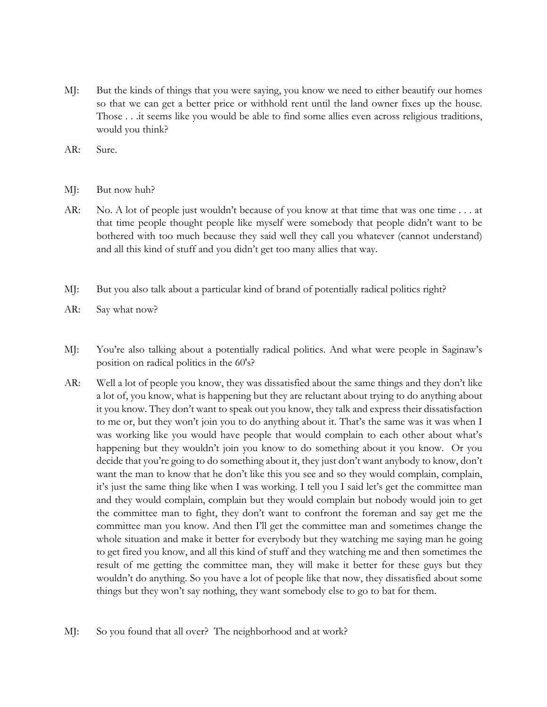- MJ: But the kinds of things that you were saying, you know we need to either beautify our homes so that we can get a better price or withhold rent until the land owner fixes up the house. Those . . .it seems like you would be able to find some allies even across religious traditions, would you think?
- AR: Sure.
- MJ: But now huh?
- AR: No. A lot of people just wouldn't because of you know at that time that was one time . . . at that time people thought people like myself were somebody that people didn't want to be bothered with too much because they said well they call you whatever (cannot understand) and all this kind of stuff and you didn't get too many allies that way.
- MJ: But you also talk about a particular kind of brand of potentially radical politics right?
- AR: Say what now?
- MJ: You're also talking about a potentially radical politics. And what were people in Saginaw's position on radical politics in the 60's?
- AR: Well a lot of people you know, they was dissatisfied about the same things and they don't like a lot of, you know, what is happening but they are reluctant about trying to do anything about it you know. They don't want to speak out you know, they talk and express their dissatisfaction to me or, but they won't join you to do anything about it. That's the same was it was when I was working like you would have people that would complain to each other about what's happening but they wouldn't join you know to do something about it you know. Or you decide that you're going to do something about it, they just don't want anybody to know, don't want the man to know that he don't like this you see and so they would complain, complain, it's just the same thing like when I was working. I tell you I said let's get the committee man and they would complain, complain but they would complain but nobody would join to get the committee man to fight, they don't want to confront the foreman and say get me the committee man you know. And then I'll get the committee man and sometimes change the whole situation and make it better for everybody but they watching me saying man he going to get fired you know, and all this kind of stuff and they watching me and then sometimes the result of me getting the committee man, they will make it better for these guys but they wouldn't do anything. So you have a lot of people like that now, they dissatisfied about some things but they won't say nothing, they want somebody else to go to bat for them.
- MJ: So you found that all over? The neighborhood and at work?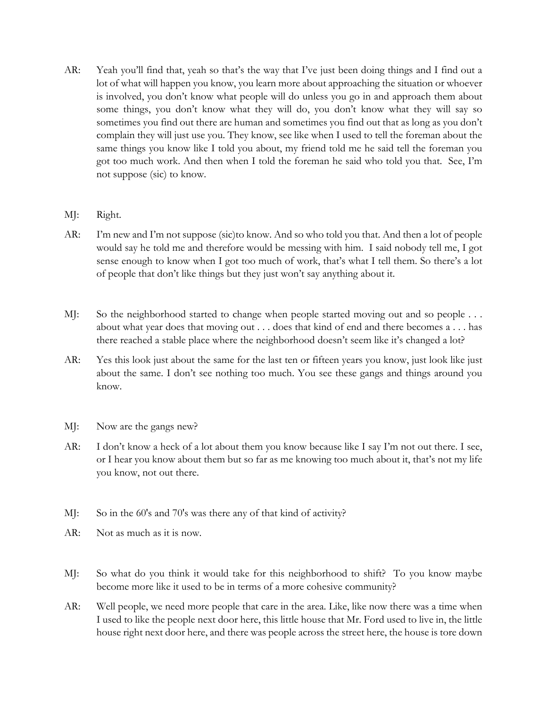- AR: Yeah you'll find that, yeah so that's the way that I've just been doing things and I find out a lot of what will happen you know, you learn more about approaching the situation or whoever is involved, you don't know what people will do unless you go in and approach them about some things, you don't know what they will do, you don't know what they will say so sometimes you find out there are human and sometimes you find out that as long as you don't complain they will just use you. They know, see like when I used to tell the foreman about the same things you know like I told you about, my friend told me he said tell the foreman you got too much work. And then when I told the foreman he said who told you that. See, I'm not suppose (sic) to know.
- MJ: Right.
- AR: I'm new and I'm not suppose (sic)to know. And so who told you that. And then a lot of people would say he told me and therefore would be messing with him. I said nobody tell me, I got sense enough to know when I got too much of work, that's what I tell them. So there's a lot of people that don't like things but they just won't say anything about it.
- MJ: So the neighborhood started to change when people started moving out and so people ... about what year does that moving out . . . does that kind of end and there becomes a . . . has there reached a stable place where the neighborhood doesn't seem like it's changed a lot?
- AR: Yes this look just about the same for the last ten or fifteen years you know, just look like just about the same. I don't see nothing too much. You see these gangs and things around you know.
- MJ: Now are the gangs new?
- AR: I don't know a heck of a lot about them you know because like I say I'm not out there. I see, or I hear you know about them but so far as me knowing too much about it, that's not my life you know, not out there.
- MJ: So in the 60's and 70's was there any of that kind of activity?
- AR: Not as much as it is now.
- MJ: So what do you think it would take for this neighborhood to shift? To you know maybe become more like it used to be in terms of a more cohesive community?
- AR: Well people, we need more people that care in the area. Like, like now there was a time when I used to like the people next door here, this little house that Mr. Ford used to live in, the little house right next door here, and there was people across the street here, the house is tore down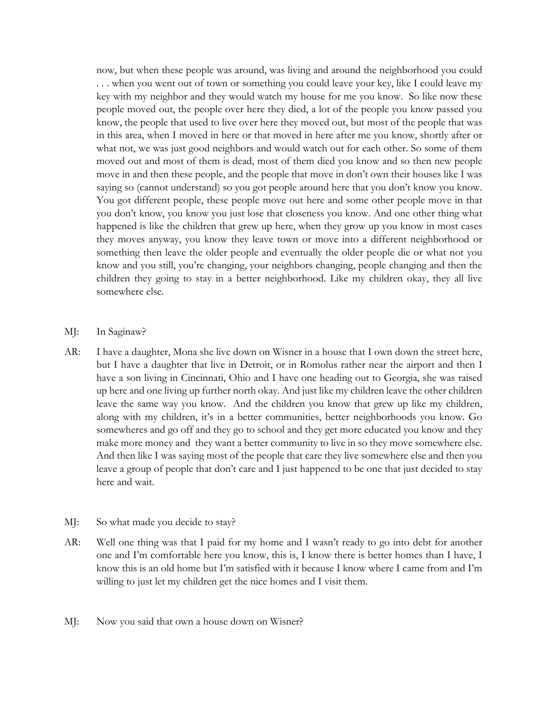now, but when these people was around, was living and around the neighborhood you could . . . when you went out of town or something you could leave your key, like I could leave my key with my neighbor and they would watch my house for me you know. So like now these people moved out, the people over here they died, a lot of the people you know passed you know, the people that used to live over here they moved out, but most of the people that was in this area, when I moved in here or that moved in here after me you know, shortly after or what not, we was just good neighbors and would watch out for each other. So some of them moved out and most of them is dead, most of them died you know and so then new people move in and then these people, and the people that move in don't own their houses like I was saying so (cannot understand) so you got people around here that you don't know you know. You got different people, these people move out here and some other people move in that you don't know, you know you just lose that closeness you know. And one other thing what happened is like the children that grew up here, when they grow up you know in most cases they moves anyway, you know they leave town or move into a different neighborhood or something then leave the older people and eventually the older people die or what not you know and you still, you're changing, your neighbors changing, people changing and then the children they going to stay in a better neighborhood. Like my children okay, they all live somewhere else.

- MJ: In Saginaw?
- AR: I have a daughter, Mona she live down on Wisner in a house that I own down the street here, but I have a daughter that live in Detroit, or in Romolus rather near the airport and then I have a son living in Cincinnati, Ohio and I have one heading out to Georgia, she was raised up here and one living up further north okay. And just like my children leave the other children leave the same way you know. And the children you know that grew up like my children, along with my children, it's in a better communities, better neighborhoods you know. Go somewheres and go off and they go to school and they get more educated you know and they make more money and they want a better community to live in so they move somewhere else. And then like I was saying most of the people that care they live somewhere else and then you leave a group of people that don't care and I just happened to be one that just decided to stay here and wait.
- MJ: So what made you decide to stay?
- AR: Well one thing was that I paid for my home and I wasn't ready to go into debt for another one and I'm comfortable here you know, this is, I know there is better homes than I have, I know this is an old home but I'm satisfied with it because I know where I came from and I'm willing to just let my children get the nice homes and I visit them.
- MJ: Now you said that own a house down on Wisner?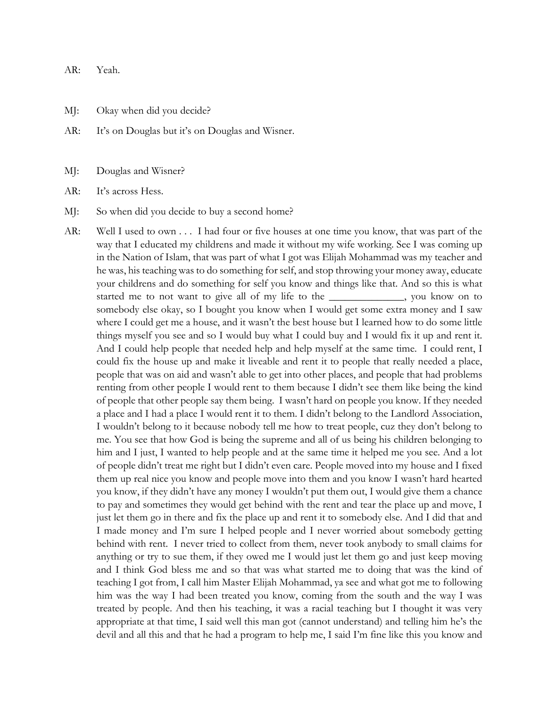AR: Yeah.

MJ: Okay when did you decide?

AR: It's on Douglas but it's on Douglas and Wisner.

MJ: Douglas and Wisner?

AR: It's across Hess.

MJ: So when did you decide to buy a second home?

AR: Well I used to own . . . I had four or five houses at one time you know, that was part of the way that I educated my childrens and made it without my wife working. See I was coming up in the Nation of Islam, that was part of what I got was Elijah Mohammad was my teacher and he was, his teaching was to do something for self, and stop throwing your money away, educate your childrens and do something for self you know and things like that. And so this is what started me to not want to give all of my life to the \_\_\_\_\_\_\_\_\_\_\_\_\_\_, you know on to somebody else okay, so I bought you know when I would get some extra money and I saw where I could get me a house, and it wasn't the best house but I learned how to do some little things myself you see and so I would buy what I could buy and I would fix it up and rent it. And I could help people that needed help and help myself at the same time. I could rent, I could fix the house up and make it liveable and rent it to people that really needed a place, people that was on aid and wasn't able to get into other places, and people that had problems renting from other people I would rent to them because I didn't see them like being the kind of people that other people say them being. I wasn't hard on people you know. If they needed a place and I had a place I would rent it to them. I didn't belong to the Landlord Association, I wouldn't belong to it because nobody tell me how to treat people, cuz they don't belong to me. You see that how God is being the supreme and all of us being his children belonging to him and I just, I wanted to help people and at the same time it helped me you see. And a lot of people didn't treat me right but I didn't even care. People moved into my house and I fixed them up real nice you know and people move into them and you know I wasn't hard hearted you know, if they didn't have any money I wouldn't put them out, I would give them a chance to pay and sometimes they would get behind with the rent and tear the place up and move, I just let them go in there and fix the place up and rent it to somebody else. And I did that and I made money and I'm sure I helped people and I never worried about somebody getting behind with rent. I never tried to collect from them, never took anybody to small claims for anything or try to sue them, if they owed me I would just let them go and just keep moving and I think God bless me and so that was what started me to doing that was the kind of teaching I got from, I call him Master Elijah Mohammad, ya see and what got me to following him was the way I had been treated you know, coming from the south and the way I was treated by people. And then his teaching, it was a racial teaching but I thought it was very appropriate at that time, I said well this man got (cannot understand) and telling him he's the devil and all this and that he had a program to help me, I said I'm fine like this you know and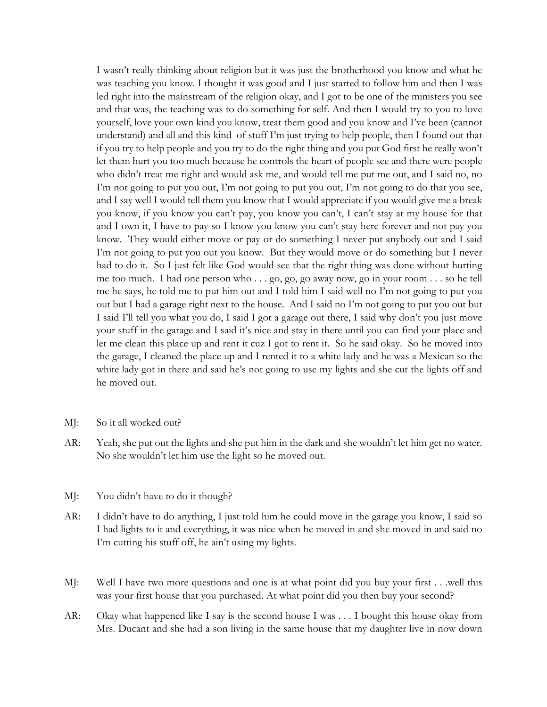I wasn't really thinking about religion but it was just the brotherhood you know and what he was teaching you know. I thought it was good and I just started to follow him and then I was led right into the mainstream of the religion okay, and I got to be one of the ministers you see and that was, the teaching was to do something for self. And then I would try to you to love yourself, love your own kind you know, treat them good and you know and I've been (cannot understand) and all and this kind of stuff I'm just trying to help people, then I found out that if you try to help people and you try to do the right thing and you put God first he really won't let them hurt you too much because he controls the heart of people see and there were people who didn't treat me right and would ask me, and would tell me put me out, and I said no, no I'm not going to put you out, I'm not going to put you out, I'm not going to do that you see, and I say well I would tell them you know that I would appreciate if you would give me a break you know, if you know you can't pay, you know you can't, I can't stay at my house for that and I own it, I have to pay so I know you know you can't stay here forever and not pay you know. They would either move or pay or do something I never put anybody out and I said I'm not going to put you out you know. But they would move or do something but I never had to do it. So I just felt like God would see that the right thing was done without hurting me too much. I had one person who . . . go, go, go away now, go in your room . . . so he tell me he says, he told me to put him out and I told him I said well no I'm not going to put you out but I had a garage right next to the house. And I said no I'm not going to put you out but I said I'll tell you what you do, I said I got a garage out there, I said why don't you just move your stuff in the garage and I said it's nice and stay in there until you can find your place and let me clean this place up and rent it cuz I got to rent it. So he said okay. So he moved into the garage, I cleaned the place up and I rented it to a white lady and he was a Mexican so the white lady got in there and said he's not going to use my lights and she cut the lights off and he moved out.

- MJ: So it all worked out?
- AR: Yeah, she put out the lights and she put him in the dark and she wouldn't let him get no water. No she wouldn't let him use the light so he moved out.
- MJ: You didn't have to do it though?
- AR: I didn't have to do anything, I just told him he could move in the garage you know, I said so I had lights to it and everything, it was nice when he moved in and she moved in and said no I'm cutting his stuff off, he ain't using my lights.
- MJ: Well I have two more questions and one is at what point did you buy your first . . .well this was your first house that you purchased. At what point did you then buy your second?
- AR: Okay what happened like I say is the second house I was . . . I bought this house okay from Mrs. Ducant and she had a son living in the same house that my daughter live in now down